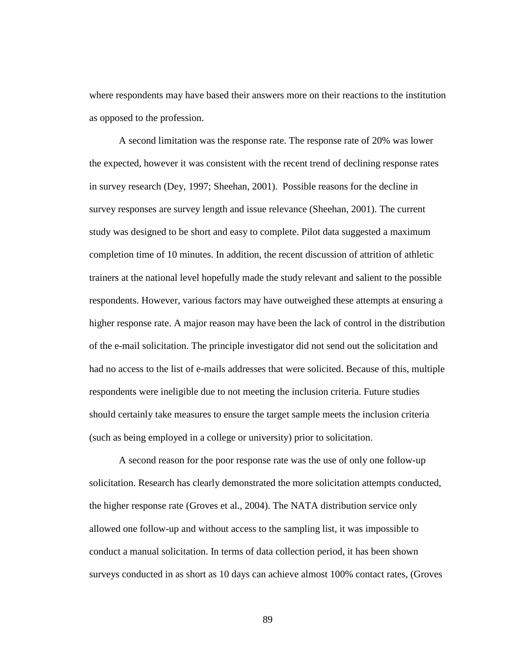where respondents may have based their answers more on their reactions to the institution as opposed to the profession.

A second limitation was the response rate. The response rate of 20% was lower the expected, however it was consistent with the recent trend of declining response rates in survey research (Dey, 1997; Sheehan, 2001). Possible reasons for the decline in survey responses are survey length and issue relevance (Sheehan, 2001). The current study was designed to be short and easy to complete. Pilot data suggested a maximum completion time of 10 minutes. In addition, the recent discussion of attrition of athletic trainers at the national level hopefully made the study relevant and salient to the possible respondents. However, various factors may have outweighed these attempts at ensuring a higher response rate. A major reason may have been the lack of control in the distribution of the e-mail solicitation. The principle investigator did not send out the solicitation and had no access to the list of e-mails addresses that were solicited. Because of this, multiple respondents were ineligible due to not meeting the inclusion criteria. Future studies should certainly take measures to ensure the target sample meets the inclusion criteria (such as being employed in a college or university) prior to solicitation.

 A second reason for the poor response rate was the use of only one follow-up solicitation. Research has clearly demonstrated the more solicitation attempts conducted, the higher response rate (Groves et al., 2004). The NATA distribution service only allowed one follow-up and without access to the sampling list, it was impossible to conduct a manual solicitation. In terms of data collection period, it has been shown surveys conducted in as short as 10 days can achieve almost 100% contact rates, (Groves

89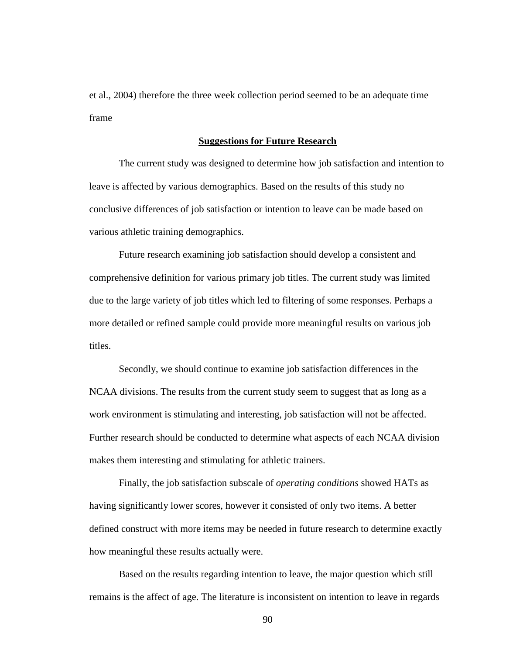et al., 2004) therefore the three week collection period seemed to be an adequate time frame

## **Suggestions for Future Research**

The current study was designed to determine how job satisfaction and intention to leave is affected by various demographics. Based on the results of this study no conclusive differences of job satisfaction or intention to leave can be made based on various athletic training demographics.

Future research examining job satisfaction should develop a consistent and comprehensive definition for various primary job titles. The current study was limited due to the large variety of job titles which led to filtering of some responses. Perhaps a more detailed or refined sample could provide more meaningful results on various job titles.

Secondly, we should continue to examine job satisfaction differences in the NCAA divisions. The results from the current study seem to suggest that as long as a work environment is stimulating and interesting, job satisfaction will not be affected. Further research should be conducted to determine what aspects of each NCAA division makes them interesting and stimulating for athletic trainers.

Finally, the job satisfaction subscale of *operating conditions* showed HATs as having significantly lower scores, however it consisted of only two items. A better defined construct with more items may be needed in future research to determine exactly how meaningful these results actually were.

Based on the results regarding intention to leave, the major question which still remains is the affect of age. The literature is inconsistent on intention to leave in regards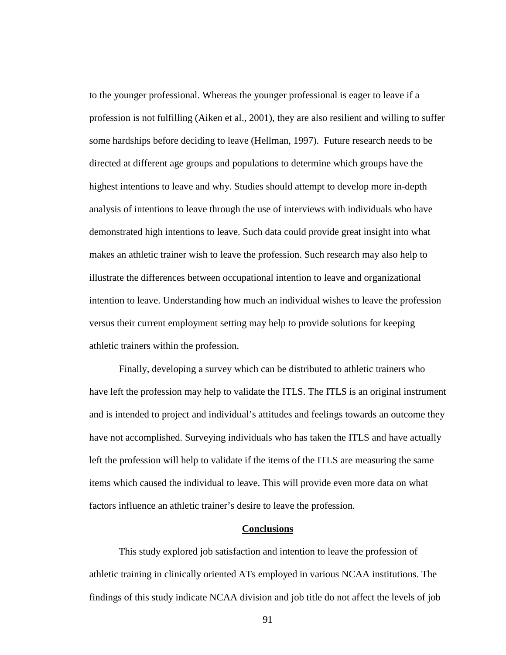to the younger professional. Whereas the younger professional is eager to leave if a profession is not fulfilling (Aiken et al., 2001), they are also resilient and willing to suffer some hardships before deciding to leave (Hellman, 1997). Future research needs to be directed at different age groups and populations to determine which groups have the highest intentions to leave and why. Studies should attempt to develop more in-depth analysis of intentions to leave through the use of interviews with individuals who have demonstrated high intentions to leave. Such data could provide great insight into what makes an athletic trainer wish to leave the profession. Such research may also help to illustrate the differences between occupational intention to leave and organizational intention to leave. Understanding how much an individual wishes to leave the profession versus their current employment setting may help to provide solutions for keeping athletic trainers within the profession.

 Finally, developing a survey which can be distributed to athletic trainers who have left the profession may help to validate the ITLS. The ITLS is an original instrument and is intended to project and individual's attitudes and feelings towards an outcome they have not accomplished. Surveying individuals who has taken the ITLS and have actually left the profession will help to validate if the items of the ITLS are measuring the same items which caused the individual to leave. This will provide even more data on what factors influence an athletic trainer's desire to leave the profession.

## **Conclusions**

 This study explored job satisfaction and intention to leave the profession of athletic training in clinically oriented ATs employed in various NCAA institutions. The findings of this study indicate NCAA division and job title do not affect the levels of job

91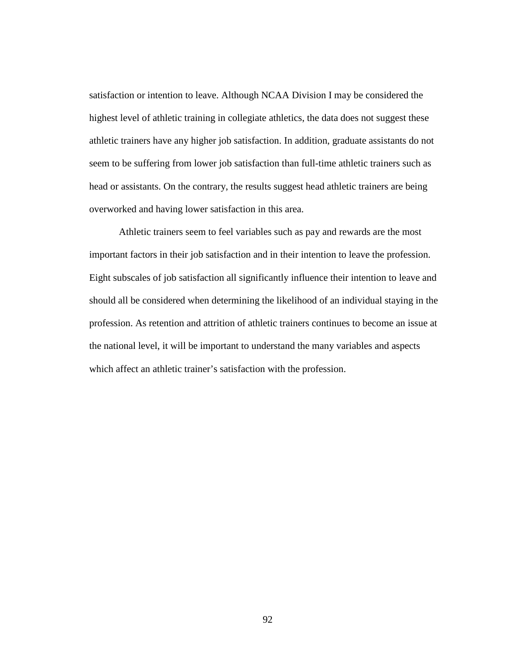satisfaction or intention to leave. Although NCAA Division I may be considered the highest level of athletic training in collegiate athletics, the data does not suggest these athletic trainers have any higher job satisfaction. In addition, graduate assistants do not seem to be suffering from lower job satisfaction than full-time athletic trainers such as head or assistants. On the contrary, the results suggest head athletic trainers are being overworked and having lower satisfaction in this area.

Athletic trainers seem to feel variables such as pay and rewards are the most important factors in their job satisfaction and in their intention to leave the profession. Eight subscales of job satisfaction all significantly influence their intention to leave and should all be considered when determining the likelihood of an individual staying in the profession. As retention and attrition of athletic trainers continues to become an issue at the national level, it will be important to understand the many variables and aspects which affect an athletic trainer's satisfaction with the profession.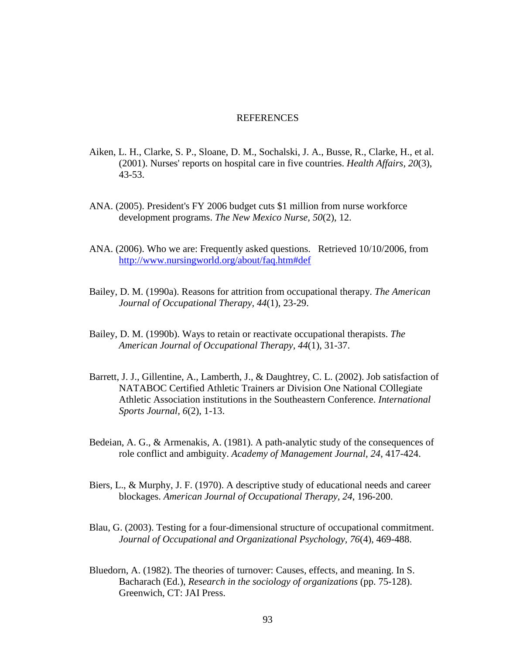## REFERENCES

- Aiken, L. H., Clarke, S. P., Sloane, D. M., Sochalski, J. A., Busse, R., Clarke, H., et al. (2001). Nurses' reports on hospital care in five countries. *Health Affairs, 20*(3), 43-53.
- ANA. (2005). President's FY 2006 budget cuts \$1 million from nurse workforce development programs. *The New Mexico Nurse, 50*(2), 12.
- ANA. (2006). Who we are: Frequently asked questions. Retrieved 10/10/2006, from <http://www.nursingworld.org/about/faq.htm#def>
- Bailey, D. M. (1990a). Reasons for attrition from occupational therapy. *The American Journal of Occupational Therapy, 44*(1), 23-29.
- Bailey, D. M. (1990b). Ways to retain or reactivate occupational therapists. *The American Journal of Occupational Therapy, 44*(1), 31-37.
- Barrett, J. J., Gillentine, A., Lamberth, J., & Daughtrey, C. L. (2002). Job satisfaction of NATABOC Certified Athletic Trainers ar Division One National COllegiate Athletic Association institutions in the Southeastern Conference. *International Sports Journal, 6*(2), 1-13.
- Bedeian, A. G., & Armenakis, A. (1981). A path-analytic study of the consequences of role conflict and ambiguity. *Academy of Management Journal, 24*, 417-424.
- Biers, L., & Murphy, J. F. (1970). A descriptive study of educational needs and career blockages. *American Journal of Occupational Therapy, 24*, 196-200.
- Blau, G. (2003). Testing for a four-dimensional structure of occupational commitment. *Journal of Occupational and Organizational Psychology, 76*(4), 469-488.
- Bluedorn, A. (1982). The theories of turnover: Causes, effects, and meaning. In S. Bacharach (Ed.), *Research in the sociology of organizations* (pp. 75-128). Greenwich, CT: JAI Press.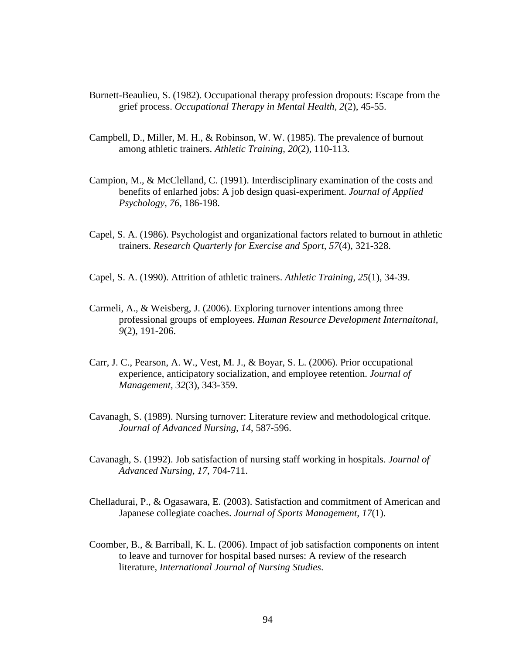- Burnett-Beaulieu, S. (1982). Occupational therapy profession dropouts: Escape from the grief process. *Occupational Therapy in Mental Health, 2*(2), 45-55.
- Campbell, D., Miller, M. H., & Robinson, W. W. (1985). The prevalence of burnout among athletic trainers. *Athletic Training, 20*(2), 110-113.
- Campion, M., & McClelland, C. (1991). Interdisciplinary examination of the costs and benefits of enlarhed jobs: A job design quasi-experiment. *Journal of Applied Psychology, 76*, 186-198.
- Capel, S. A. (1986). Psychologist and organizational factors related to burnout in athletic trainers. *Research Quarterly for Exercise and Sport, 57*(4), 321-328.
- Capel, S. A. (1990). Attrition of athletic trainers. *Athletic Training, 25*(1), 34-39.
- Carmeli, A., & Weisberg, J. (2006). Exploring turnover intentions among three professional groups of employees. *Human Resource Development Internaitonal, 9*(2), 191-206.
- Carr, J. C., Pearson, A. W., Vest, M. J., & Boyar, S. L. (2006). Prior occupational experience, anticipatory socialization, and employee retention. *Journal of Management, 32*(3), 343-359.
- Cavanagh, S. (1989). Nursing turnover: Literature review and methodological critque. *Journal of Advanced Nursing, 14*, 587-596.
- Cavanagh, S. (1992). Job satisfaction of nursing staff working in hospitals. *Journal of Advanced Nursing, 17*, 704-711.
- Chelladurai, P., & Ogasawara, E. (2003). Satisfaction and commitment of American and Japanese collegiate coaches. *Journal of Sports Management, 17*(1).
- Coomber, B., & Barriball, K. L. (2006). Impact of job satisfaction components on intent to leave and turnover for hospital based nurses: A review of the research literature, *International Journal of Nursing Studies*.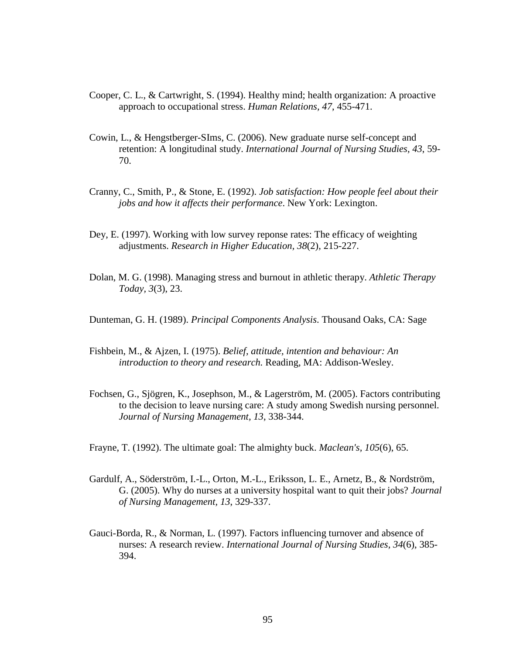- Cooper, C. L., & Cartwright, S. (1994). Healthy mind; health organization: A proactive approach to occupational stress. *Human Relations, 47*, 455-471.
- Cowin, L., & Hengstberger-SIms, C. (2006). New graduate nurse self-concept and retention: A longitudinal study. *International Journal of Nursing Studies, 43*, 59- 70.
- Cranny, C., Smith, P., & Stone, E. (1992). *Job satisfaction: How people feel about their jobs and how it affects their performance*. New York: Lexington.
- Dey, E. (1997). Working with low survey reponse rates: The efficacy of weighting adjustments. *Research in Higher Education, 38*(2), 215-227.
- Dolan, M. G. (1998). Managing stress and burnout in athletic therapy. *Athletic Therapy Today, 3*(3), 23.
- Dunteman, G. H. (1989). *Principal Components Analysis*. Thousand Oaks, CA: Sage
- Fishbein, M., & Ajzen, I. (1975). *Belief, attitude, intention and behaviour: An introduction to theory and research.* Reading, MA: Addison-Wesley.
- Fochsen, G., Sjögren, K., Josephson, M., & Lagerström, M. (2005). Factors contributing to the decision to leave nursing care: A study among Swedish nursing personnel. *Journal of Nursing Management, 13*, 338-344.
- Frayne, T. (1992). The ultimate goal: The almighty buck. *Maclean's, 105*(6), 65.
- Gardulf, A., Söderström, I.-L., Orton, M.-L., Eriksson, L. E., Arnetz, B., & Nordström, G. (2005). Why do nurses at a university hospital want to quit their jobs? *Journal of Nursing Management, 13*, 329-337.
- Gauci-Borda, R., & Norman, L. (1997). Factors influencing turnover and absence of nurses: A research review. *International Journal of Nursing Studies, 34*(6), 385- 394.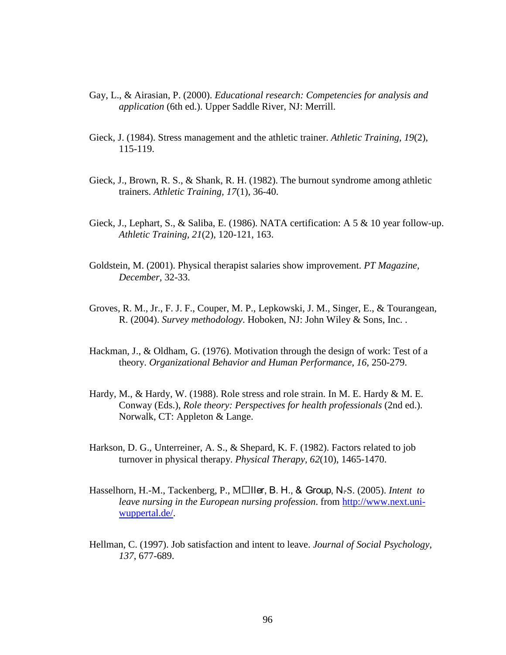- Gay, L., & Airasian, P. (2000). *Educational research: Competencies for analysis and application* (6th ed.). Upper Saddle River, NJ: Merrill.
- Gieck, J. (1984). Stress management and the athletic trainer. *Athletic Training, 19*(2), 115-119.
- Gieck, J., Brown, R. S., & Shank, R. H. (1982). The burnout syndrome among athletic trainers. *Athletic Training, 17*(1), 36-40.
- Gieck, J., Lephart, S., & Saliba, E. (1986). NATA certification: A 5 & 10 year follow-up. *Athletic Training, 21*(2), 120-121, 163.
- Goldstein, M. (2001). Physical therapist salaries show improvement. *PT Magazine, December,* 32-33.
- Groves, R. M., Jr., F. J. F., Couper, M. P., Lepkowski, J. M., Singer, E., & Tourangean, R. (2004). *Survey methodology*. Hoboken, NJ: John Wiley & Sons, Inc. .
- Hackman, J., & Oldham, G. (1976). Motivation through the design of work: Test of a theory. *Organizational Behavior and Human Performance, 16*, 250-279.
- Hardy, M., & Hardy, W. (1988). Role stress and role strain. In M. E. Hardy & M. E. Conway (Eds.), *Role theory: Perspectives for health professionals* (2nd ed.). Norwalk, CT: Appleton & Lange.
- Harkson, D. G., Unterreiner, A. S., & Shepard, K. F. (1982). Factors related to job turnover in physical therapy. *Physical Therapy, 62*(10), 1465-1470.
- Hasselhorn, H.-M., Tackenberg, P., M□ller, B. H., & Group, N.S. (2005). *Intent to leave nursing in the European nursing profession*. from [http://www.next.uni](http://www.next.uni-wuppertal.de/)[wuppertal.de/.](http://www.next.uni-wuppertal.de/)
- Hellman, C. (1997). Job satisfaction and intent to leave. *Journal of Social Psychology, 137*, 677-689.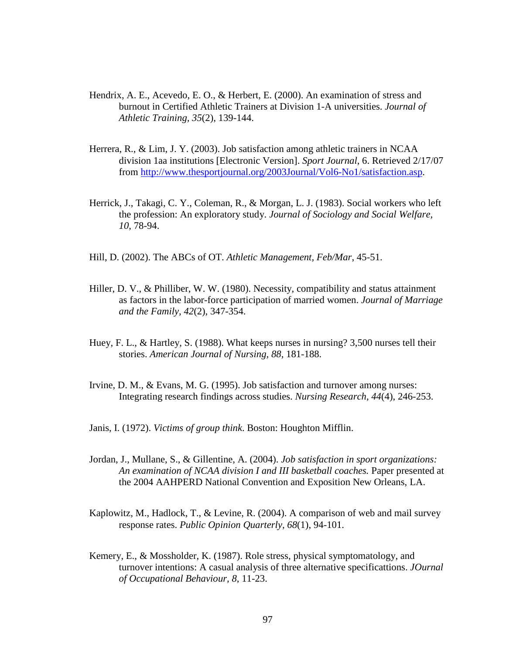- Hendrix, A. E., Acevedo, E. O., & Herbert, E. (2000). An examination of stress and burnout in Certified Athletic Trainers at Division 1-A universities. *Journal of Athletic Training, 35*(2), 139-144.
- Herrera, R., & Lim, J. Y. (2003). Job satisfaction among athletic trainers in NCAA division 1aa institutions [Electronic Version]. *Sport Journal*, 6. Retrieved 2/17/07 from [http://www.thesportjournal.org/2003Journal/Vol6-No1/satisfaction.asp.](http://www.thesportjournal.org/2003Journal/Vol6-No1/satisfaction.asp)
- Herrick, J., Takagi, C. Y., Coleman, R., & Morgan, L. J. (1983). Social workers who left the profession: An exploratory study. *Journal of Sociology and Social Welfare, 10*, 78-94.
- Hill, D. (2002). The ABCs of OT. *Athletic Management, Feb/Mar*, 45-51.
- Hiller, D. V., & Philliber, W. W. (1980). Necessity, compatibility and status attainment as factors in the labor-force participation of married women. *Journal of Marriage and the Family, 42*(2), 347-354.
- Huey, F. L., & Hartley, S. (1988). What keeps nurses in nursing? 3,500 nurses tell their stories. *American Journal of Nursing, 88*, 181-188.
- Irvine, D. M., & Evans, M. G. (1995). Job satisfaction and turnover among nurses: Integrating research findings across studies. *Nursing Research, 44*(4), 246-253.
- Janis, I. (1972). *Victims of group think*. Boston: Houghton Mifflin.
- Jordan, J., Mullane, S., & Gillentine, A. (2004). *Job satisfaction in sport organizations: An examination of NCAA division I and III basketball coaches.* Paper presented at the 2004 AAHPERD National Convention and Exposition New Orleans, LA.
- Kaplowitz, M., Hadlock, T., & Levine, R. (2004). A comparison of web and mail survey response rates. *Public Opinion Quarterly, 68*(1), 94-101.
- Kemery, E., & Mossholder, K. (1987). Role stress, physical symptomatology, and turnover intentions: A casual analysis of three alternative specificattions. *JOurnal of Occupational Behaviour, 8*, 11-23.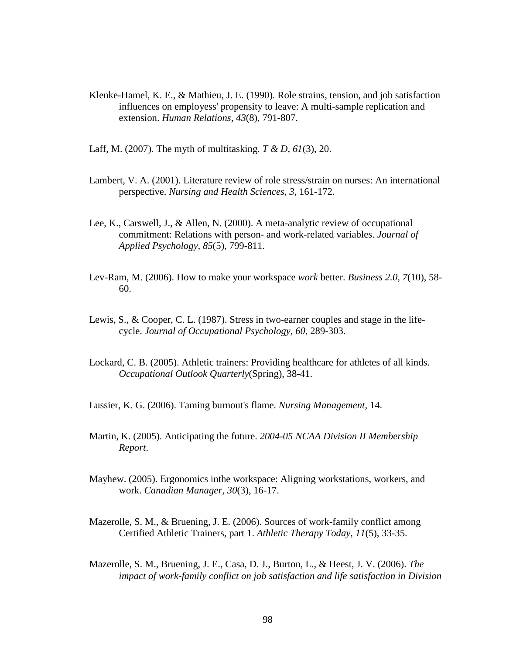- Klenke-Hamel, K. E., & Mathieu, J. E. (1990). Role strains, tension, and job satisfaction influences on employess' propensity to leave: A multi-sample replication and extension. *Human Relations, 43*(8), 791-807.
- Laff, M. (2007). The myth of multitasking. *T & D, 61*(3), 20.
- Lambert, V. A. (2001). Literature review of role stress/strain on nurses: An international perspective. *Nursing and Health Sciences, 3*, 161-172.
- Lee, K., Carswell, J., & Allen, N. (2000). A meta-analytic review of occupational commitment: Relations with person- and work-related variables. *Journal of Applied Psychology, 85*(5), 799-811.
- Lev-Ram, M. (2006). How to make your workspace *work* better. *Business 2.0, 7*(10), 58- 60.
- Lewis, S., & Cooper, C. L. (1987). Stress in two-earner couples and stage in the lifecycle. *Journal of Occupational Psychology, 60*, 289-303.
- Lockard, C. B. (2005). Athletic trainers: Providing healthcare for athletes of all kinds. *Occupational Outlook Quarterly*(Spring), 38-41.
- Lussier, K. G. (2006). Taming burnout's flame. *Nursing Management*, 14.
- Martin, K. (2005). Anticipating the future. *2004-05 NCAA Division II Membership Report*.
- Mayhew. (2005). Ergonomics inthe workspace: Aligning workstations, workers, and work. *Canadian Manager, 30*(3), 16-17.
- Mazerolle, S. M., & Bruening, J. E. (2006). Sources of work-family conflict among Certified Athletic Trainers, part 1. *Athletic Therapy Today, 11*(5), 33-35.
- Mazerolle, S. M., Bruening, J. E., Casa, D. J., Burton, L., & Heest, J. V. (2006). *The impact of work-family conflict on job satisfaction and life satisfaction in Division*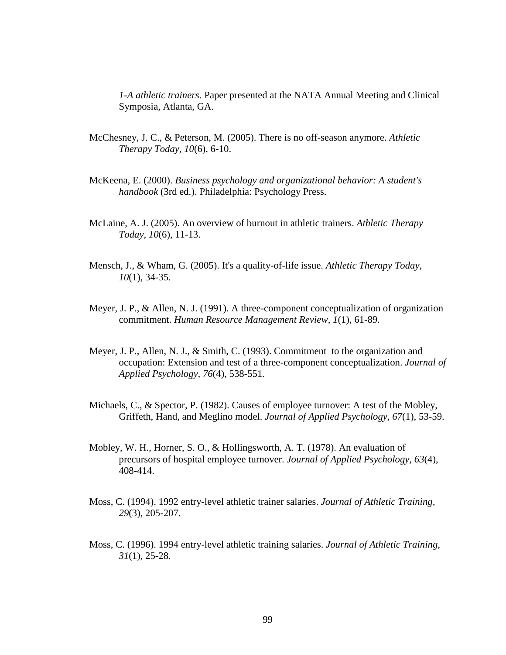*1-A athletic trainers.* Paper presented at the NATA Annual Meeting and Clinical Symposia, Atlanta, GA.

- McChesney, J. C., & Peterson, M. (2005). There is no off-season anymore. *Athletic Therapy Today, 10*(6), 6-10.
- McKeena, E. (2000). *Business psychology and organizational behavior: A student's handbook* (3rd ed.). Philadelphia: Psychology Press.
- McLaine, A. J. (2005). An overview of burnout in athletic trainers. *Athletic Therapy Today, 10*(6), 11-13.
- Mensch, J., & Wham, G. (2005). It's a quality-of-life issue. *Athletic Therapy Today, 10*(1), 34-35.
- Meyer, J. P., & Allen, N. J. (1991). A three-component conceptualization of organization commitment. *Human Resource Management Review, 1*(1), 61-89.
- Meyer, J. P., Allen, N. J., & Smith, C. (1993). Commitment to the organization and occupation: Extension and test of a three-component conceptualization. *Journal of Applied Psychology, 76*(4), 538-551.
- Michaels, C., & Spector, P. (1982). Causes of employee turnover: A test of the Mobley, Griffeth, Hand, and Meglino model. *Journal of Applied Psychology, 67*(1), 53-59.
- Mobley, W. H., Horner, S. O., & Hollingsworth, A. T. (1978). An evaluation of precursors of hospital employee turnover. *Journal of Applied Psychology, 63*(4), 408-414.
- Moss, C. (1994). 1992 entry-level athletic trainer salaries. *Journal of Athletic Training, 29*(3), 205-207.
- Moss, C. (1996). 1994 entry-level athletic training salaries. *Journal of Athletic Training, 31*(1), 25-28.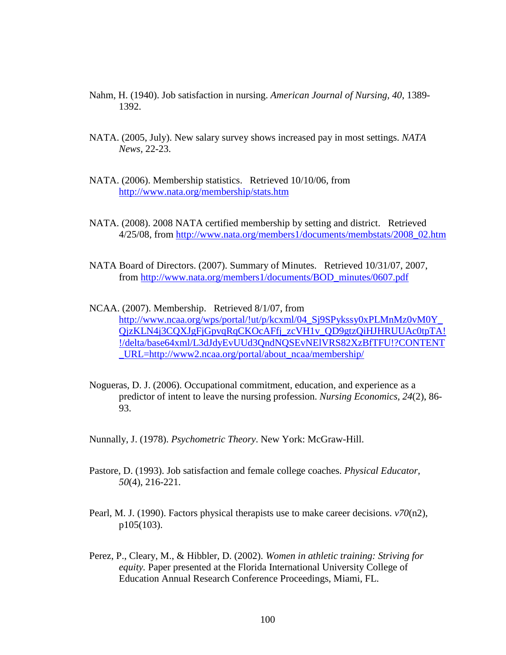- Nahm, H. (1940). Job satisfaction in nursing. *American Journal of Nursing, 40*, 1389- 1392.
- NATA. (2005, July). New salary survey shows increased pay in most settings. *NATA News,* 22-23.
- NATA. (2006). Membership statistics. Retrieved 10/10/06, from <http://www.nata.org/membership/stats.htm>
- NATA. (2008). 2008 NATA certified membership by setting and district. Retrieved 4/25/08, from [http://www.nata.org/members1/documents/membstats/2008\\_02.htm](http://www.nata.org/members1/documents/membstats/2008_02.htm)
- NATA Board of Directors. (2007). Summary of Minutes. Retrieved 10/31/07, 2007, from [http://www.nata.org/members1/documents/BOD\\_minutes/0607.pdf](http://www.nata.org/members1/documents/BOD_minutes/0607.pdf)
- NCAA. (2007). Membership. Retrieved 8/1/07, from http://www.ncaa.org/wps/portal/!ut/p/kcxml/04\_Sj9SPykssy0xPLMnMz0vM0Y [QjzKLN4j3CQXJgFjGpvqRqCKOcAFfj\\_zcVH1v\\_QD9gtzQiHJHRUUAc0tpTA!](http://www.ncaa.org/wps/portal/!ut/p/kcxml/04_Sj9SPykssy0xPLMnMz0vM0Y_QjzKLN4j3CQXJgFjGpvqRqCKOcAFfj_zcVH1v_QD9gtzQiHJHRUUAc0tpTA!!/delta/base64xml/L3dJdyEvUUd3QndNQSEvNElVRS82XzBfTFU!?CONTENT_URL=http://www2.ncaa.org/portal/about_ncaa/membership/) [!/delta/base64xml/L3dJdyEvUUd3QndNQSEvNElVRS82XzBfTFU!?CONTENT](http://www.ncaa.org/wps/portal/!ut/p/kcxml/04_Sj9SPykssy0xPLMnMz0vM0Y_QjzKLN4j3CQXJgFjGpvqRqCKOcAFfj_zcVH1v_QD9gtzQiHJHRUUAc0tpTA!!/delta/base64xml/L3dJdyEvUUd3QndNQSEvNElVRS82XzBfTFU!?CONTENT_URL=http://www2.ncaa.org/portal/about_ncaa/membership/) URL=http://www2.ncaa.org/portal/about\_ncaa/membership/
- Nogueras, D. J. (2006). Occupational commitment, education, and experience as a predictor of intent to leave the nursing profession. *Nursing Economics, 24*(2), 86- 93.
- Nunnally, J. (1978). *Psychometric Theory*. New York: McGraw-Hill.
- Pastore, D. (1993). Job satisfaction and female college coaches. *Physical Educator, 50*(4), 216-221.
- Pearl, M. J. (1990). Factors physical therapists use to make career decisions. *v70*(n2), p105(103).
- Perez, P., Cleary, M., & Hibbler, D. (2002). *Women in athletic training: Striving for equity.* Paper presented at the Florida International University College of Education Annual Research Conference Proceedings, Miami, FL.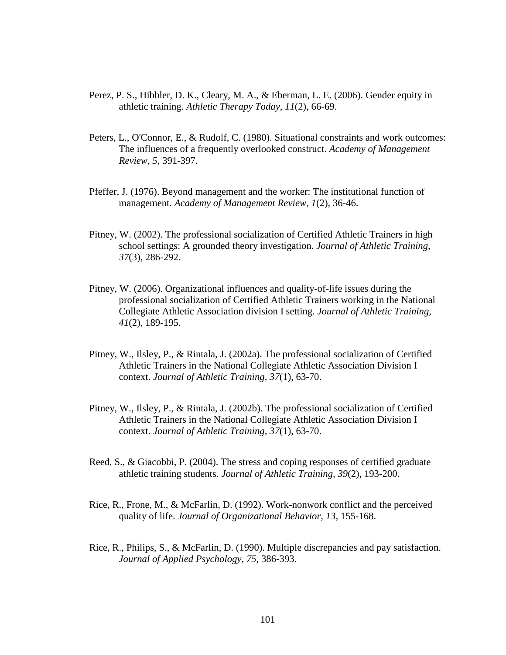- Perez, P. S., Hibbler, D. K., Cleary, M. A., & Eberman, L. E. (2006). Gender equity in athletic training. *Athletic Therapy Today, 11*(2), 66-69.
- Peters, L., O'Connor, E., & Rudolf, C. (1980). Situational constraints and work outcomes: The influences of a frequently overlooked construct. *Academy of Management Review, 5*, 391-397.
- Pfeffer, J. (1976). Beyond management and the worker: The institutional function of management. *Academy of Management Review, 1*(2), 36-46.
- Pitney, W. (2002). The professional socialization of Certified Athletic Trainers in high school settings: A grounded theory investigation. *Journal of Athletic Training, 37*(3), 286-292.
- Pitney, W. (2006). Organizational influences and quality-of-life issues during the professional socialization of Certified Athletic Trainers working in the National Collegiate Athletic Association division I setting. *Journal of Athletic Training, 41*(2), 189-195.
- Pitney, W., Ilsley, P., & Rintala, J. (2002a). The professional socialization of Certified Athletic Trainers in the National Collegiate Athletic Association Division I context. *Journal of Athletic Training, 37*(1), 63-70.
- Pitney, W., Ilsley, P., & Rintala, J. (2002b). The professional socialization of Certified Athletic Trainers in the National Collegiate Athletic Association Division I context. *Journal of Athletic Training, 37*(1), 63-70.
- Reed, S., & Giacobbi, P. (2004). The stress and coping responses of certified graduate athletic training students. *Journal of Athletic Training, 39*(2), 193-200.
- Rice, R., Frone, M., & McFarlin, D. (1992). Work-nonwork conflict and the perceived quality of life. *Journal of Organizational Behavior, 13*, 155-168.
- Rice, R., Philips, S., & McFarlin, D. (1990). Multiple discrepancies and pay satisfaction. *Journal of Applied Psychology, 75*, 386-393.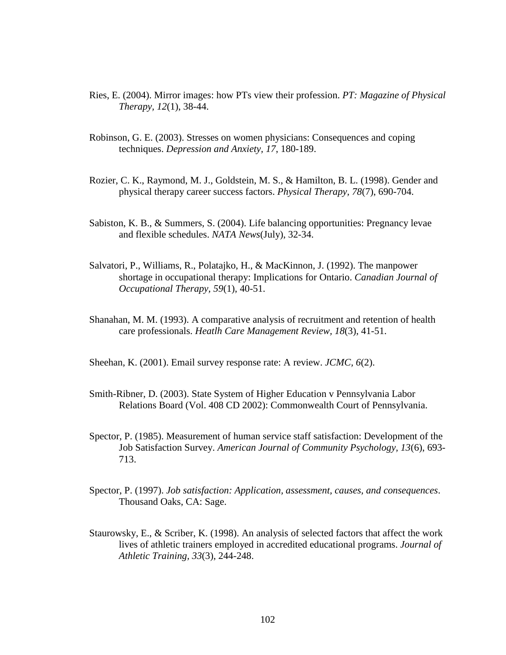- Ries, E. (2004). Mirror images: how PTs view their profession. *PT: Magazine of Physical Therapy, 12*(1), 38-44.
- Robinson, G. E. (2003). Stresses on women physicians: Consequences and coping techniques. *Depression and Anxiety, 17*, 180-189.
- Rozier, C. K., Raymond, M. J., Goldstein, M. S., & Hamilton, B. L. (1998). Gender and physical therapy career success factors. *Physical Therapy, 78*(7), 690-704.
- Sabiston, K. B., & Summers, S. (2004). Life balancing opportunities: Pregnancy levae and flexible schedules. *NATA News*(July), 32-34.
- Salvatori, P., Williams, R., Polatajko, H., & MacKinnon, J. (1992). The manpower shortage in occupational therapy: Implications for Ontario. *Canadian Journal of Occupational Therapy, 59*(1), 40-51.
- Shanahan, M. M. (1993). A comparative analysis of recruitment and retention of health care professionals. *Heatlh Care Management Review, 18*(3), 41-51.

Sheehan, K. (2001). Email survey response rate: A review. *JCMC, 6*(2).

- Smith-Ribner, D. (2003). State System of Higher Education v Pennsylvania Labor Relations Board (Vol. 408 CD 2002): Commonwealth Court of Pennsylvania.
- Spector, P. (1985). Measurement of human service staff satisfaction: Development of the Job Satisfaction Survey. *American Journal of Community Psychology, 13*(6), 693- 713.
- Spector, P. (1997). *Job satisfaction: Application, assessment, causes, and consequences*. Thousand Oaks, CA: Sage.
- Staurowsky, E., & Scriber, K. (1998). An analysis of selected factors that affect the work lives of athletic trainers employed in accredited educational programs. *Journal of Athletic Training, 33*(3), 244-248.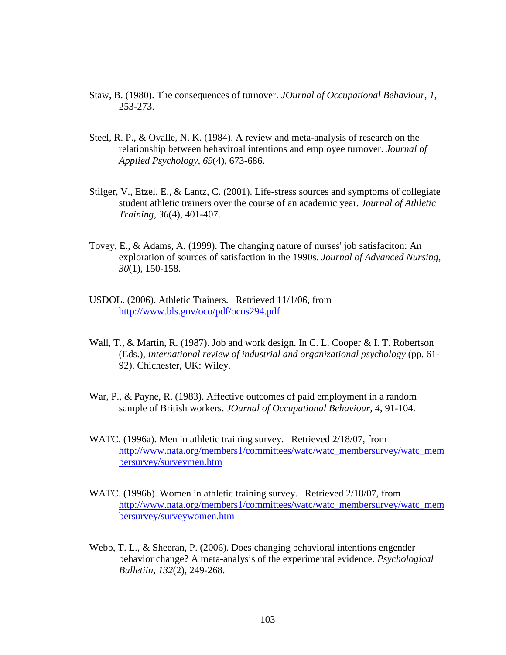- Staw, B. (1980). The consequences of turnover. *JOurnal of Occupational Behaviour, 1*, 253-273.
- Steel, R. P., & Ovalle, N. K. (1984). A review and meta-analysis of research on the relationship between behaviroal intentions and employee turnover. *Journal of Applied Psychology, 69*(4), 673-686.
- Stilger, V., Etzel, E., & Lantz, C. (2001). Life-stress sources and symptoms of collegiate student athletic trainers over the course of an academic year. *Journal of Athletic Training, 36*(4), 401-407.
- Tovey, E., & Adams, A. (1999). The changing nature of nurses' job satisfaciton: An exploration of sources of satisfaction in the 1990s. *Journal of Advanced Nursing, 30*(1), 150-158.
- USDOL. (2006). Athletic Trainers. Retrieved 11/1/06, from <http://www.bls.gov/oco/pdf/ocos294.pdf>
- Wall, T., & Martin, R. (1987). Job and work design. In C. L. Cooper & I. T. Robertson (Eds.), *International review of industrial and organizational psychology* (pp. 61- 92). Chichester, UK: Wiley.
- War, P., & Payne, R. (1983). Affective outcomes of paid employment in a random sample of British workers. *JOurnal of Occupational Behaviour, 4*, 91-104.
- WATC. (1996a). Men in athletic training survey. Retrieved 2/18/07, from [http://www.nata.org/members1/committees/watc/watc\\_membersurvey/watc\\_mem](http://www.nata.org/members1/committees/watc/watc_membersurvey/watc_membersurvey/surveymen.htm) [bersurvey/surveymen.htm](http://www.nata.org/members1/committees/watc/watc_membersurvey/watc_membersurvey/surveymen.htm)
- WATC. (1996b). Women in athletic training survey. Retrieved 2/18/07, from [http://www.nata.org/members1/committees/watc/watc\\_membersurvey/watc\\_mem](http://www.nata.org/members1/committees/watc/watc_membersurvey/watc_membersurvey/surveywomen.htm) [bersurvey/surveywomen.htm](http://www.nata.org/members1/committees/watc/watc_membersurvey/watc_membersurvey/surveywomen.htm)
- Webb, T. L., & Sheeran, P. (2006). Does changing behavioral intentions engender behavior change? A meta-analysis of the experimental evidence. *Psychological Bulletiin, 132*(2), 249-268.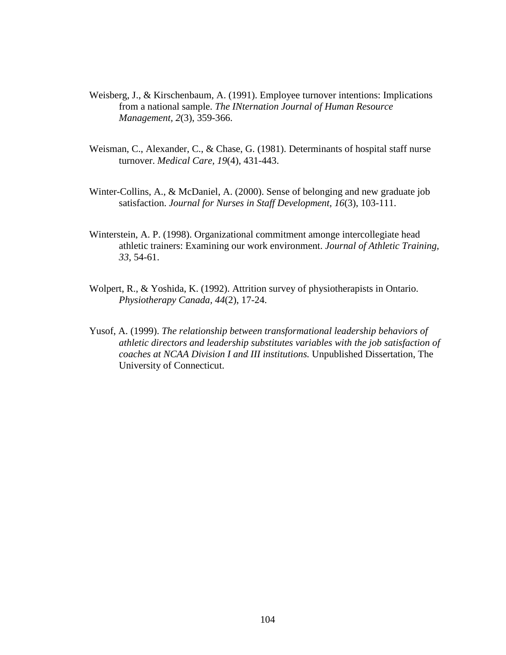- Weisberg, J., & Kirschenbaum, A. (1991). Employee turnover intentions: Implications from a national sample. *The INternation Journal of Human Resource Management, 2*(3), 359-366.
- Weisman, C., Alexander, C., & Chase, G. (1981). Determinants of hospital staff nurse turnover. *Medical Care, 19*(4), 431-443.
- Winter-Collins, A., & McDaniel, A. (2000). Sense of belonging and new graduate job satisfaction. *Journal for Nurses in Staff Development, 16*(3), 103-111.
- Winterstein, A. P. (1998). Organizational commitment amonge intercollegiate head athletic trainers: Examining our work environment. *Journal of Athletic Training, 33*, 54-61.
- Wolpert, R., & Yoshida, K. (1992). Attrition survey of physiotherapists in Ontario. *Physiotherapy Canada, 44*(2), 17-24.
- Yusof, A. (1999). *The relationship between transformational leadership behaviors of athletic directors and leadership substitutes variables with the job satisfaction of coaches at NCAA Division I and III institutions.* Unpublished Dissertation, The University of Connecticut.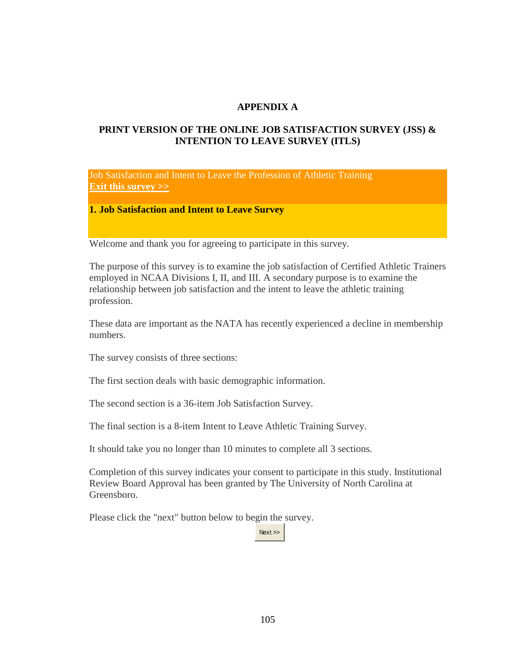#### **APPENDIX A**

### **PRINT VERSION OF THE ONLINE JOB SATISFACTION SURVEY (JSS) & INTENTION TO LEAVE SURVEY (ITLS)**

Job Satisfaction and Intent to Leave the Profession of Athletic Training **[Exit this survey >>](http://www.surveymonkey.com/s.aspx?sm=xpZGxB7aZN5hEuAoTGcsLZKkVBHvve6cSg4ZTrA1Ytc%3d&PREVIEW_MODE=DO_NOT_USE_THIS_LINK_FOR_COLLECTION##)**

**1. Job Satisfaction and Intent to Leave Survey** 

Welcome and thank you for agreeing to participate in this survey.

The purpose of this survey is to examine the job satisfaction of Certified Athletic Trainers employed in NCAA Divisions I, II, and III. A secondary purpose is to examine the relationship between job satisfaction and the intent to leave the athletic training profession.

These data are important as the NATA has recently experienced a decline in membership numbers.

The survey consists of three sections:

The first section deals with basic demographic information.

The second section is a 36-item Job Satisfaction Survey.

The final section is a 8-item Intent to Leave Athletic Training Survey.

It should take you no longer than 10 minutes to complete all 3 sections.

Completion of this survey indicates your consent to participate in this study. Institutional Review Board Approval has been granted by The University of North Carolina at Greensboro.

Please click the "next" button below to begin the survey.

Next >>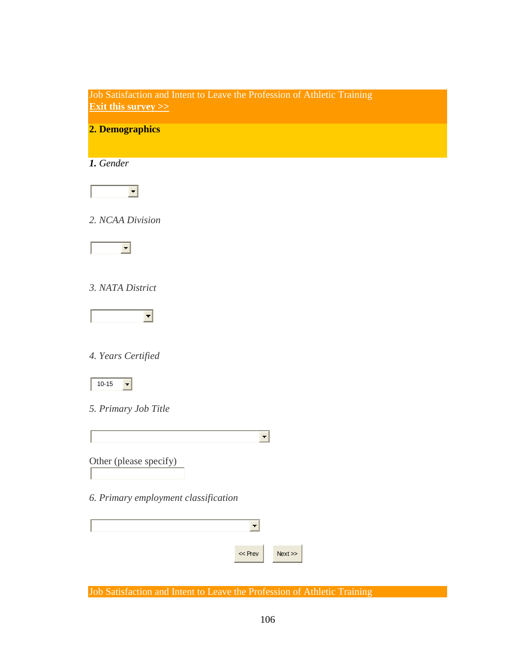Job Satisfaction and Intent to Leave the Profession of Athletic Training **[Exit this survey >>](http://www.surveymonkey.com/s.aspx?sm=xpZGxB7aZN5hEuAoTGcsLbvHwYpjag5QJUy7MQYWZrGrq%2brkurb9NAwMKB5i7uOpBTGpTQcYHA%2f%2bkcMkhcBetRyrKfCuSETFMM8rKKtifs8%3d##)**

**2. Demographics** 

*1. Gender*



*2. NCAA Division* 



*3. NATA District*



*4. Years Certified*



*5. Primary Job Title* 

| Other (please specify) |  |
|------------------------|--|

*6. Primary employment classification* 

| $<<$ Prev | Next |
|-----------|------|

Job Satisfaction and Intent to Leave the Profession of Athletic Training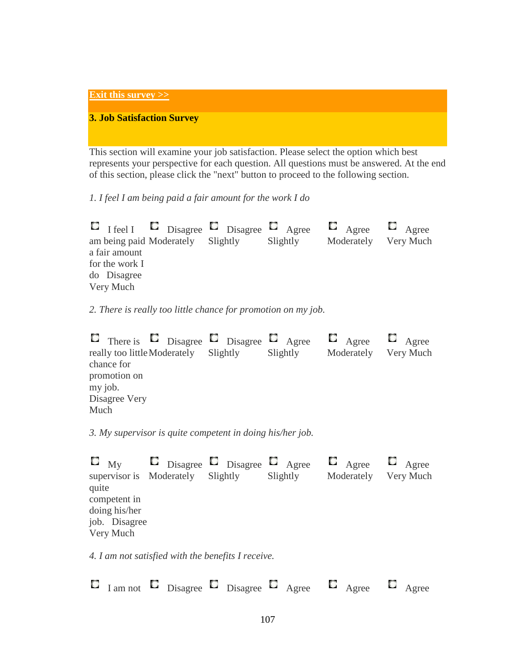### **[Exit this survey >>](http://www.surveymonkey.com/s.aspx?sm=xpZGxB7aZN5hEuAoTGcsLbvHwYpjag5QJUy7MQYWZrGrq%2brkurb9NAwMKB5i7uOpBTGpTQcYHA%2f%2bkcMkhcBetRyrKfCuSETFMM8rKKtifs8%3d##)**

### **3. Job Satisfaction Survey**

This section will examine your job satisfaction. Please select the option which best represents your perspective for each question. All questions must be answered. At the end of this section, please click the "next" button to proceed to the following section.

*1. I feel I am being paid a fair amount for the work I do* 

 $\Box$  I feel I am being paid Moderately a fair amount for the work I do Disagree Very Much Disagree **Disagree** Agree Slightly Slightly **C** Agree Moderately **C** Agree Very Much

*2. There is really too little chance for promotion on my job.* 

There is  $\Box$  Disagree  $\Box$  Disagree  $\Box$  Agree really too little Moderately chance for promotion on my job. Disagree Very Much Slightly Slightly  $\blacksquare$  Agree Moderately  $\Box$  Agree Very Much

*3. My supervisor is quite competent in doing his/her job.* 

| $\Box$ My<br>$\Box$ Disagree $\Box$ Disagree $\Box$ Agree                                                 |          | $\Box$ Agree $\Box$ Agree |
|-----------------------------------------------------------------------------------------------------------|----------|---------------------------|
| supervisor is Moderately Slightly<br>quite<br>competent in<br>doing his/her<br>job. Disagree<br>Very Much | Slightly | Moderately Very Much      |

*4. I am not satisfied with the benefits I receive.* 

|  | $\blacksquare$ I am not $\blacksquare$ Disagree $\blacksquare$ Disagree $\blacksquare$ Agree $\blacksquare$ Agree $\blacksquare$ Agree |  |  |  |  |  |  |  |  |  |  |
|--|----------------------------------------------------------------------------------------------------------------------------------------|--|--|--|--|--|--|--|--|--|--|
|--|----------------------------------------------------------------------------------------------------------------------------------------|--|--|--|--|--|--|--|--|--|--|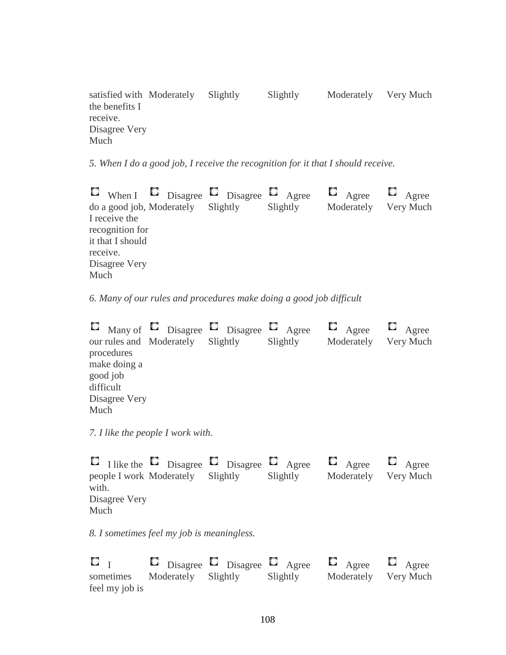| satisfied with Moderately<br>the benefits I | Slightly | Slightly | Moderately Very Much |  |
|---------------------------------------------|----------|----------|----------------------|--|
| receive.                                    |          |          |                      |  |
| Disagree Very                               |          |          |                      |  |
| Much                                        |          |          |                      |  |

*5. When I do a good job, I receive the recognition for it that I should receive.* 

| do a good job, Moderately Slightly<br>I receive the<br>recognition for<br>it that I should<br>receive.<br>Disagree Very | $\blacksquare$ When $\blacksquare$ $\blacksquare$ Disagree $\blacksquare$ $\blacksquare$ Agree<br>Slightly | $\Box$ Agree $\Box$ Agree<br>Moderately Very Much |
|-------------------------------------------------------------------------------------------------------------------------|------------------------------------------------------------------------------------------------------------|---------------------------------------------------|
| Much                                                                                                                    |                                                                                                            |                                                   |

*6. Many of our rules and procedures make doing a good job difficult* 

Many of  $\Box$  Disagree  $\Box$  Disagree  $\Box$  Agree our rules and Moderately procedures make doing a good job difficult Disagree Very Much Slightly Slightly **C** Agree Moderately **C** Agree Very Much

*7. I like the people I work with.*

I like the  $\Box$  Disagree  $\Box$  Disagree  $\Box$  Agree people I work Moderately with. Disagree Very Much Slightly Slightly **C** Agree Moderately  $\Box$  Agree Very Much

*8. I sometimes feel my job is meaningless.* 

 $\mathbf{C}^-$  i sometimes feel my job is Disagree **Disagree** Agree Moderately Slightly Slightly  $\Box$  Agree Moderately Very Much $\Box$  Agree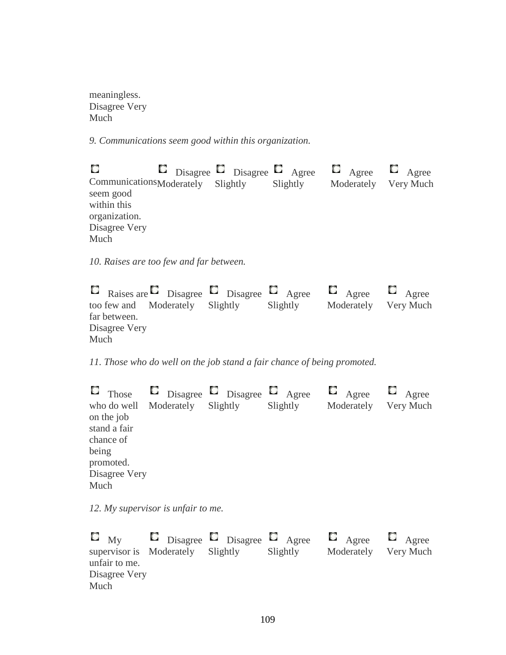meaningless. Disagree Very Much

*9. Communications seem good within this organization.* 

| С                                                                                                       | $\Box$ Disagree $\Box$ Disagree $\Box$ Agree |  |          |  | $\Box$ Agree $\Box$ Agree |  |
|---------------------------------------------------------------------------------------------------------|----------------------------------------------|--|----------|--|---------------------------|--|
| CommunicationsModerately Slightly<br>seem good<br>within this<br>organization.<br>Disagree Very<br>Much |                                              |  | Slightly |  | Moderately Very Much      |  |
|                                                                                                         |                                              |  |          |  |                           |  |

*10. Raises are too few and far between.* 

|      |               |                                 |          | <b>C</b> Raises are $\Box$ Disagree $\Box$ Disagree $\Box$ Agree $\Box$ Agree $\Box$ Agree |  |
|------|---------------|---------------------------------|----------|--------------------------------------------------------------------------------------------|--|
|      |               | too few and Moderately Slightly | Slightly | Moderately Very Much                                                                       |  |
|      | far between.  |                                 |          |                                                                                            |  |
|      | Disagree Very |                                 |          |                                                                                            |  |
| Much |               |                                 |          |                                                                                            |  |

*11. Those who do well on the job stand a fair chance of being promoted.* 

 $\Gamma$  Those who do well on the job stand a fair chance of being promoted. Disagree Very Much Disagree **Disagree** Agree Moderately Slightly Slightly  $\Box$  Agree Moderately **L** Agree Very Much

*12. My supervisor is unfair to me.* 

 $\Box$  My supervisor is Moderately unfair to me. Disagree Very Much Disagree **Disagree** Agree Slightly Slightly  $\Box$  Agree Moderately  $\Box$  Agree Very Much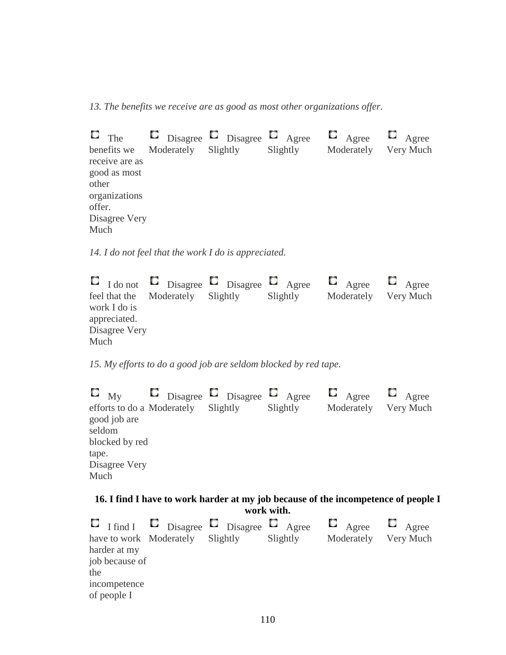*13. The benefits we receive are as good as most other organizations offer.* 

 $\Box$  The benefits we receive are as good as most other organizations offer. Disagree Very Much Disagree **Disagree** Agree Moderately Slightly Slightly  $\Box$  Agree Moderately Very Much  $\Box$  Agree

*14. I do not feel that the work I do is appreciated.* 

 $\Box$  I do not feel that the work I do is appreciated. Disagree Very Much Disagree **Disagree** Agree Moderately Slightly Slightly  $\Box$  Agree Moderately Very Much  $\Box$  Agree

*15. My efforts to do a good job are seldom blocked by red tape.* 

 $\Box$  My efforts to do a Moderately Slightly good job are seldom blocked by red tape. Disagree Very Much Disagree **Disagree** Agree Slightly  $\Box$  Agree Moderately Very Much  $\Box$  Agree

**16. I find I have to work harder at my job because of the incompetence of people I work with.**

|                                                      | $\Box$ I find I $\Box$ Disagree $\Box$ Disagree $\Box$ Agree |          | $\Box$ Agree $\Box$ Agree |
|------------------------------------------------------|--------------------------------------------------------------|----------|---------------------------|
| have to work Moderately Slightly                     |                                                              | Slightly | Moderately Very Much      |
| harder at my                                         |                                                              |          |                           |
| job because of<br>the<br>incompetence<br>of people I |                                                              |          |                           |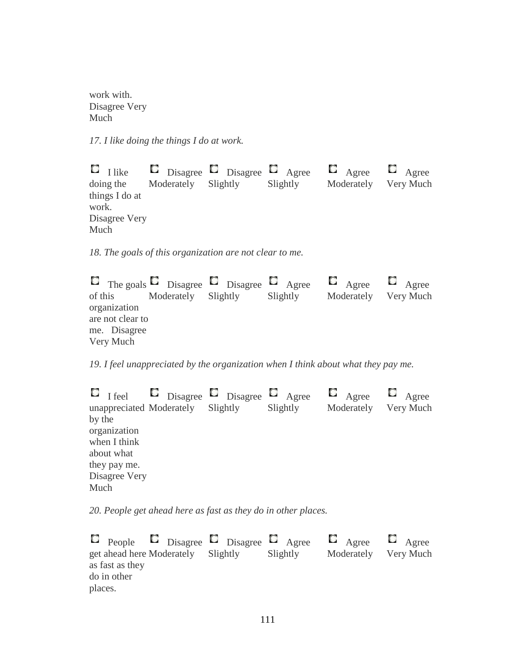work with. Disagree Very Much

*17. I like doing the things I do at work.* 

 $\Box$  I like **C** Agree С Agree Disagree **Disagree** Agree doing the Moderately Slightly Slightly Moderately Very Much things I do at work. Disagree Very Much

*18. The goals of this organization are not clear to me.* 

The goals  $\Box$  Disagree  $\Box$  Disagree  $\Box$  Agree of this organization are not clear to me. Disagree Very Much Moderately Slightly Slightly **C** Agree Moderately Very Much  $\Box$  Agree

*19. I feel unappreciated by the organization when I think about what they pay me.* 

 $\Box$  I feel unappreciated Moderately Slightly by the organization when I think about what they pay me. Disagree Very Much Disagree **Disagree** Agree Slightly  $\Box$  Agree Moderately  $\Box$  Agree Very Much

*20. People get ahead here as fast as they do in other places.* 

 $\Box$  People get ahead here Moderately as fast as they do in other places. Disagree **Disagree** Agree Slightly Slightly  $\Box$  Agree Moderately **C** Agree Very Much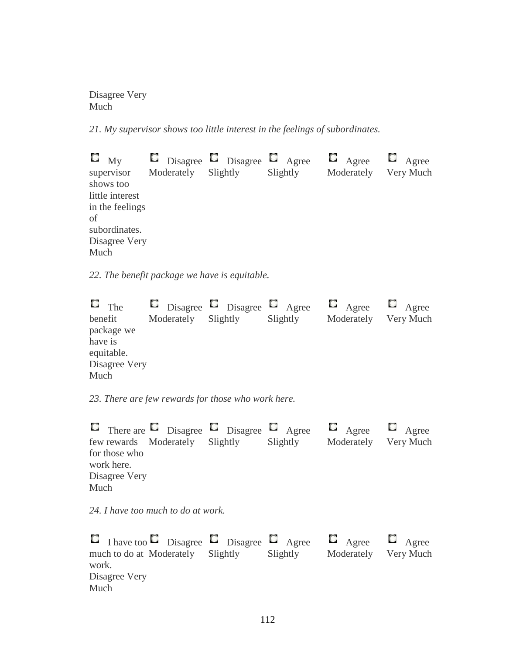Disagree Very Much

*21. My supervisor shows too little interest in the feelings of subordinates.* 

 $\Box$  My supervisor shows too little interest in the feelings of subordinates. Disagree Very Much Disagree **Disagree** Agree Moderately Slightly Slightly **C** Agree Moderately  $\Box$  Agree Very Much

*22. The benefit package we have is equitable.* 

| $\Box$ The<br>benefit                                        |            | $\Box$ Disagree $\Box$ Disagree $\Box$ Agree |          | $\Box$ Agree $\Box$ Agree<br>Moderately | Very Much |
|--------------------------------------------------------------|------------|----------------------------------------------|----------|-----------------------------------------|-----------|
| package we<br>have is<br>equitable.<br>Disagree Very<br>Much | Moderately | Slightly                                     | Slightly |                                         |           |

*23. There are few rewards for those who work here.* 

|      |                                              |                                 |          | $\blacksquare$ There are $\blacksquare$ Disagree $\blacksquare$ Disagree $\blacksquare$ Agree $\blacksquare$ Agree |  |
|------|----------------------------------------------|---------------------------------|----------|--------------------------------------------------------------------------------------------------------------------|--|
|      |                                              | few rewards Moderately Slightly | Slightly | Moderately Very Much                                                                                               |  |
| Much | for those who<br>work here.<br>Disagree Very |                                 |          |                                                                                                                    |  |

*24. I have too much to do at work.* 

I have too  $\Box$  Disagree  $\Box$  Disagree  $\Box$  Agree much to do at Moderately work. Disagree Very Much Slightly Slightly **C** Agree Moderately **C** Agree Very Much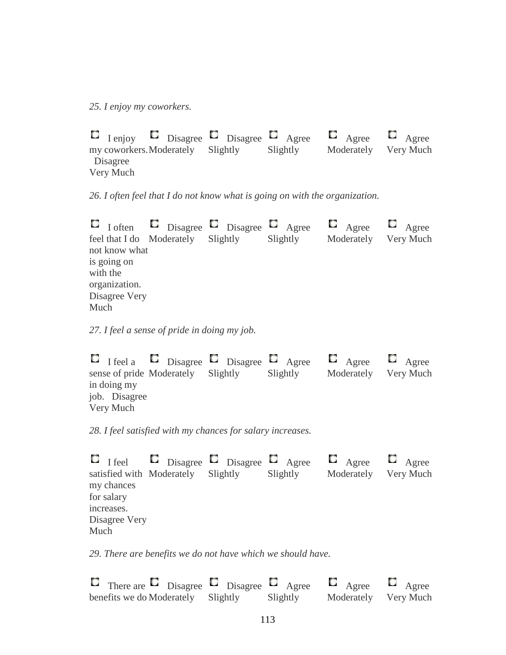*25. I enjoy my coworkers.* 

 $\Box$  I enjoy my coworkers. Moderately Disagree Very Much Disagree **Disagree** Agree Slightly Slightly  $\Box$  Agree Moderately  $\Box$  Agree Very Much

*26. I often feel that I do not know what is going on with the organization.* 

 $\Box$  I often feel that I do Moderately not know what is going on with the organization. Disagree Very Much Disagree **Disagree** Agree Slightly Slightly  $\Box$  Agree Moderately **D** Agree Very Much

*27. I feel a sense of pride in doing my job.* 

 $\Box$  I feel a sense of pride Moderately Slightly in doing my job. Disagree Very Much Disagree **Disagree** Agree Slightly  $\Box$  Agree Moderately Very Much  $\Box$  Agree

*28. I feel satisfied with my chances for salary increases.* 

 $\Box$  I feel satisfied with Moderately Slightly my chances for salary increases. Disagree Very Much Disagree **Disagree** Agree Slightly  $\Box$  Agree Moderately **D** Agree Very Much

*29. There are benefits we do not have which we should have.* 

There are  $\Box$  Disagree  $\Box$  Disagree  $\Box$  Agree benefits we do Moderately Slightly Slightly  $\Box$  Agree Moderately  $\Box$  Agree Very Much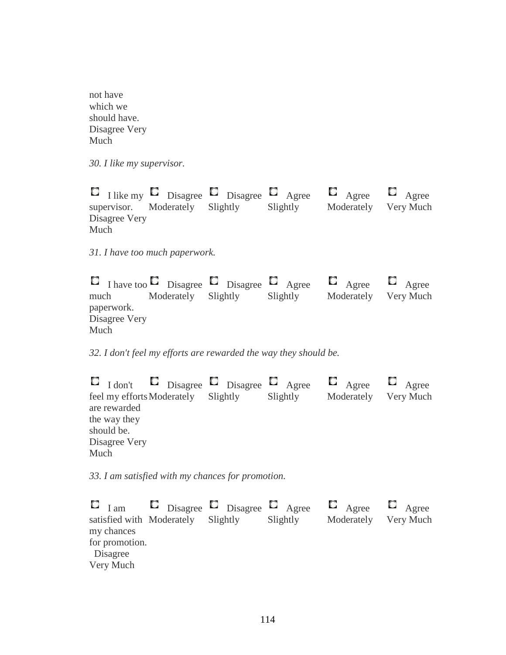not have which we should have. Disagree Very Much

*30. I like my supervisor.*

I like my  $\Box$  Disagree  $\Box$  Disagree  $\Box$  Agree supervisor. Disagree Very Much Moderately Slightly Slightly  $\Box$  Agree Moderately  $\Box$  Agree Very Much

*31. I have too much paperwork.* 

I have too  $\Box$  Disagree  $\Box$  Disagree  $\Box$  Agree much paperwork. Disagree Very Much Moderately Slightly Slightly **C** Agree Moderately Very Much  $\Box$  Agree

*32. I don't feel my efforts are rewarded the way they should be.* 

 $\Box$  I don't feel my efforts Moderately Slightly are rewarded the way they should be. Disagree Very Much Disagree **Disagree** Agree Slightly **E** Agree Moderately  $\Box$  Agree Very Much

*33. I am satisfied with my chances for promotion.* 

 $\Gamma$  I am satisfied with Moderately my chances for promotion. Disagree Very Much Disagree **Disagree** Agree Slightly Slightly **C** Agree Moderately **C** Agree Very Much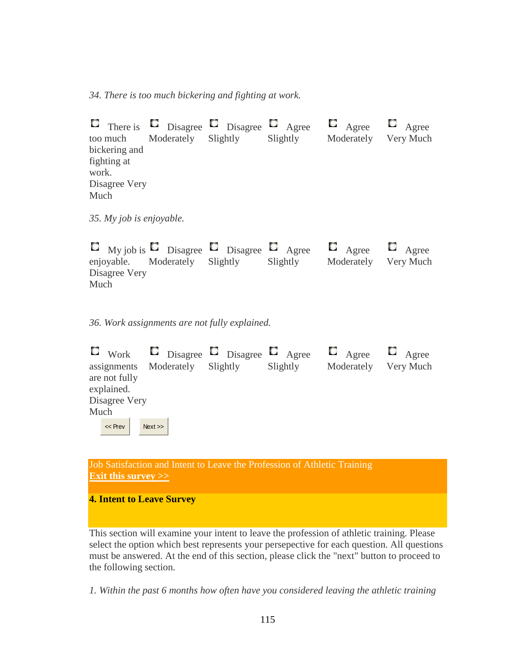*34. There is too much bickering and fighting at work.* 

There is  $\Box$  Disagree  $\Box$  Disagree  $\Box$  Agree too much bickering and fighting at work. Disagree Very Much Moderately Slightly Slightly **C** Agree Moderately  $\Box$  Agree Very Much

*35. My job is enjoyable.* 

My job is  $\Box$  Disagree  $\Box$  Disagree  $\Box$  Agree enjoyable. Disagree Very Much Moderately Slightly Slightly  $\Box$  Agree Moderately  $\Box$  Agree Very Much

*36. Work assignments are not fully explained.* 

|      |               |      | $\Box$ Work $\Box$ Disagree $\Box$ Disagree $\Box$ Agree |          |          |            | $\Box$ Agree $\Box$ Agree |  |
|------|---------------|------|----------------------------------------------------------|----------|----------|------------|---------------------------|--|
|      | assignments   |      | Moderately                                               | Slightly | Slightly | Moderately | Very Much                 |  |
|      | are not fully |      |                                                          |          |          |            |                           |  |
|      | explained.    |      |                                                          |          |          |            |                           |  |
|      | Disagree Very |      |                                                          |          |          |            |                           |  |
| Much |               |      |                                                          |          |          |            |                           |  |
|      | $<<$ Prev     | Next |                                                          |          |          |            |                           |  |

Job Satisfaction and Intent to Leave the Profession of Athletic Training **[Exit this survey >>](http://www.surveymonkey.com/s.aspx?sm=xpZGxB7aZN5hEuAoTGcsLbvHwYpjag5QJUy7MQYWZrGrq%2brkurb9NAwMKB5i7uOpBTGpTQcYHA%2f%2bkcMkhcBetRyrKfCuSETFMM8rKKtifs8%3d##)**

#### **4. Intent to Leave Survey**

This section will examine your intent to leave the profession of athletic training. Please select the option which best represents your persepective for each question. All questions must be answered. At the end of this section, please click the "next" button to proceed to the following section.

*1. Within the past 6 months how often have you considered leaving the athletic training*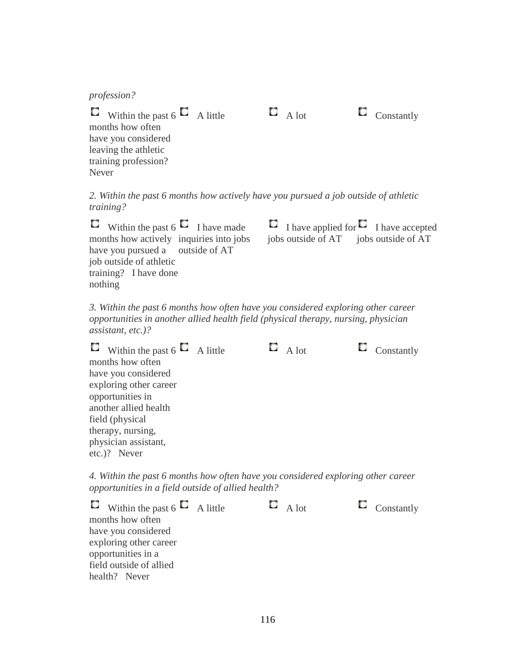*profession?* 

 $\Box$  Within the past 6  $\Box$  A little months how often have you considered leaving the athletic training profession? Never

*2. Within the past 6 months how actively have you pursued a job outside of athletic training?* 

Within the past  $6 \cup I$  have made months how actively inquiries into jobs have you pursued a outside of AT job outside of athletic training? I have done nothing

I have applied for I have accepted jobs outside of AT jobs outside of AT

 $\Box$  A lot  $\Box$  Constantly

*3. Within the past 6 months how often have you considered exploring other career opportunities in another allied health field (physical therapy, nursing, physician assistant, etc.)?* 

 $\Box$  Within the past 6  $\Box$  A little months how often have you considered exploring other career opportunities in another allied health field (physical therapy, nursing, physician assistant, etc.)? Never  $\Box$  A lot  $\Box$  Constantly

*4. Within the past 6 months how often have you considered exploring other career opportunities in a field outside of allied health?* 

| <b>E</b> Within the past 6 <b>C</b> A little | $\Box$ A lot | $\Box$ Constantly |
|----------------------------------------------|--------------|-------------------|
| months how often                             |              |                   |
| have you considered                          |              |                   |
| exploring other career                       |              |                   |
| opportunities in a                           |              |                   |
| field outside of allied                      |              |                   |
| health? Never                                |              |                   |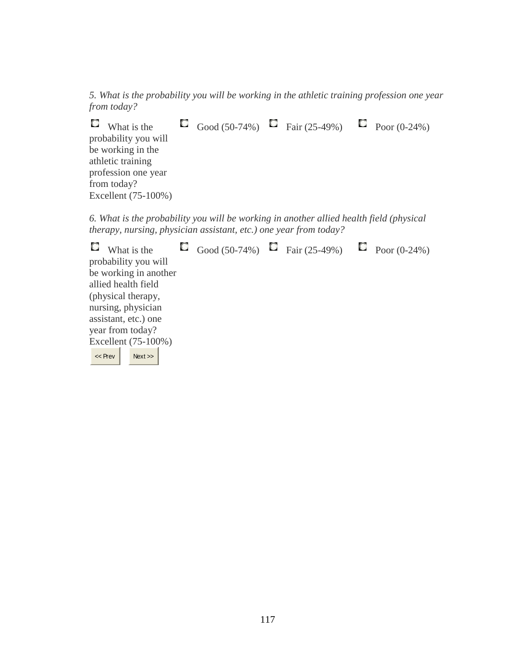*5. What is the probability you will be working in the athletic training profession one year from today?* 

**C** What is the probability you will be working in the athletic training profession one year from today? Excellent (75-100%) Good (50-74%)  $\blacksquare$  Fair (25-49%)  $\blacksquare$  Poor (0-24%)

*6. What is the probability you will be working in another allied health field (physical therapy, nursing, physician assistant, etc.) one year from today?* 

| C.<br>What is the      | Good (50-74%) $\Box$ Fair (25-49%) $\Box$ Poor (0-24%) |  |  |
|------------------------|--------------------------------------------------------|--|--|
| probability you will   |                                                        |  |  |
| be working in another  |                                                        |  |  |
| allied health field    |                                                        |  |  |
| (physical therapy,     |                                                        |  |  |
| nursing, physician     |                                                        |  |  |
| assistant, etc.) one   |                                                        |  |  |
| year from today?       |                                                        |  |  |
| Excellent $(75-100\%)$ |                                                        |  |  |
| $<<$ Prev<br>Next      |                                                        |  |  |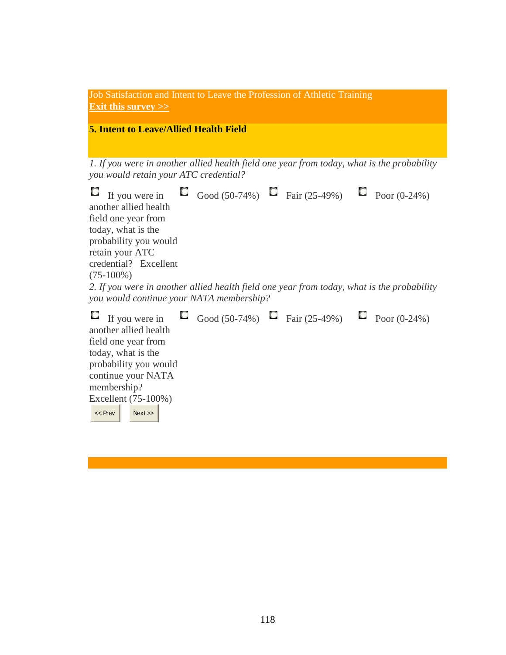Job Satisfaction and Intent to Leave the Profession of Athletic Training **[Exit this survey >>](http://www.surveymonkey.com/s.aspx?sm=xpZGxB7aZN5hEuAoTGcsLbvHwYpjag5QJUy7MQYWZrGrq%2brkurb9NAwMKB5i7uOpBTGpTQcYHA%2f%2bkcMkhcBetRyrKfCuSETFMM8rKKtifs8%3d##)**

## **5. Intent to Leave/Allied Health Field**

continue your NATA

Excellent (75-100%)

 $\lt$  Prev Next >>

membership?

*1. If you were in another allied health field one year from today, what is the probability you would retain your ATC credential?* 

| $\blacksquare$ If you were in $\blacksquare$ Good (50-74%) $\blacksquare$ Fair (25-49%) $\blacksquare$ Poor (0-24%)<br>another allied health                                              |  |  |  |
|-------------------------------------------------------------------------------------------------------------------------------------------------------------------------------------------|--|--|--|
| field one year from                                                                                                                                                                       |  |  |  |
| today, what is the                                                                                                                                                                        |  |  |  |
| probability you would                                                                                                                                                                     |  |  |  |
| retain your ATC                                                                                                                                                                           |  |  |  |
| credential? Excellent                                                                                                                                                                     |  |  |  |
| $(75-100\%)$                                                                                                                                                                              |  |  |  |
| 2. If you were in another allied health field one year from today, what is the probability                                                                                                |  |  |  |
| you would continue your NATA membership?                                                                                                                                                  |  |  |  |
| $\blacksquare$ If you were in $\blacksquare$ Good (50-74%) $\blacksquare$ Fair (25-49%) $\blacksquare$ Poor (0-24%)<br>another allied health<br>field one year from<br>today, what is the |  |  |  |
| probability you would                                                                                                                                                                     |  |  |  |

118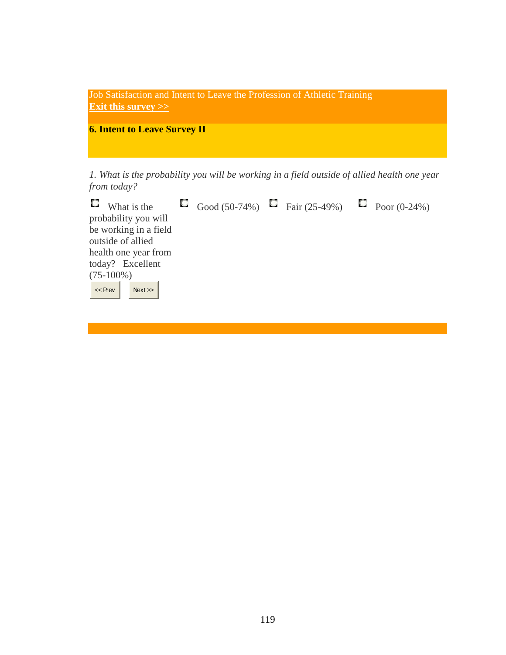| Job Satisfaction and Intent to Leave the Profession of Athletic Training<br><b>Exit this survey</b> $\gg$ |  |
|-----------------------------------------------------------------------------------------------------------|--|
| <b>6. Intent to Leave Survey II</b>                                                                       |  |
|                                                                                                           |  |

*1. What is the probability you will be working in a field outside of allied health one year from today?* 

| $\Box$ What is the    | Good (50-74%) $\Box$ Fair (25-49%) $\Box$ Poor (0-24%) |  |  |
|-----------------------|--------------------------------------------------------|--|--|
| probability you will  |                                                        |  |  |
| be working in a field |                                                        |  |  |
| outside of allied     |                                                        |  |  |
| health one year from  |                                                        |  |  |
| today? Excellent      |                                                        |  |  |
| $(75-100\%)$          |                                                        |  |  |
| $\ll$ Prev<br>Next    |                                                        |  |  |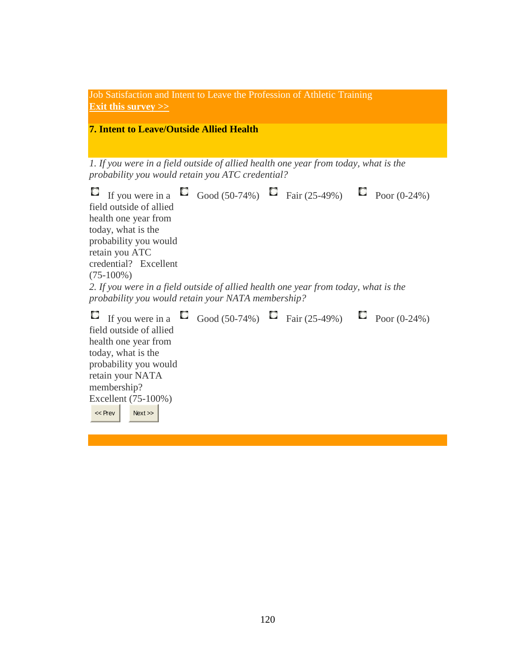| Job Satisfaction and Intent to Leave the Profession of Athletic Training<br><b>Exit this survey &gt;&gt;</b>                                                                                                                                                                                                                                                         |  |    |                 |
|----------------------------------------------------------------------------------------------------------------------------------------------------------------------------------------------------------------------------------------------------------------------------------------------------------------------------------------------------------------------|--|----|-----------------|
| <b>7. Intent to Leave/Outside Allied Health</b>                                                                                                                                                                                                                                                                                                                      |  |    |                 |
| 1. If you were in a field outside of allied health one year from today, what is the<br>probability you would retain you ATC credential?                                                                                                                                                                                                                              |  |    |                 |
| If you were in a $\Box$ Good (50-74%) $\Box$ Fair (25-49%)<br>field outside of allied<br>health one year from<br>today, what is the<br>probability you would<br>retain you ATC<br>credential? Excellent<br>$(75-100\%)$<br>2. If you were in a field outside of allied health one year from today, what is the<br>probability you would retain your NATA membership? |  | C, | Poor $(0-24\%)$ |
| If you were in a $\Box$ Good (50-74%) $\Box$ Fair (25-49%)<br>field outside of allied<br>health one year from<br>today, what is the<br>probability you would<br>retain your NATA<br>membership?<br>Excellent (75-100%)<br><< Prev<br>Next                                                                                                                            |  | C, | Poor $(0-24\%)$ |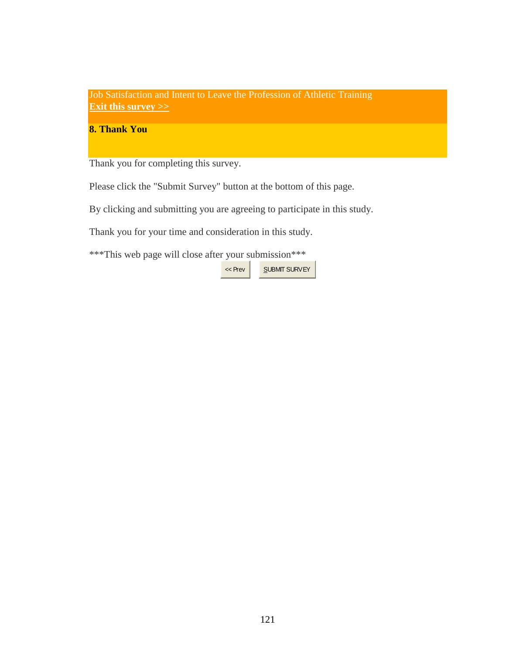Job Satisfaction and Intent to Leave the Profession of Athletic Training **[Exit this survey >>](http://www.surveymonkey.com/s.aspx?sm=xpZGxB7aZN5hEuAoTGcsLbvHwYpjag5QJUy7MQYWZrGrq%2brkurb9NAwMKB5i7uOpBTGpTQcYHA%2f%2bkcMkhcBetRyrKfCuSETFMM8rKKtifs8%3d##)**

### **8. Thank You**

Thank you for completing this survey.

Please click the "Submit Survey" button at the bottom of this page.

By clicking and submitting you are agreeing to participate in this study.

Thank you for your time and consideration in this study.

\*\*\*This web page will close after your submission\*\*\*

<< Prev | SUBMIT SURVEY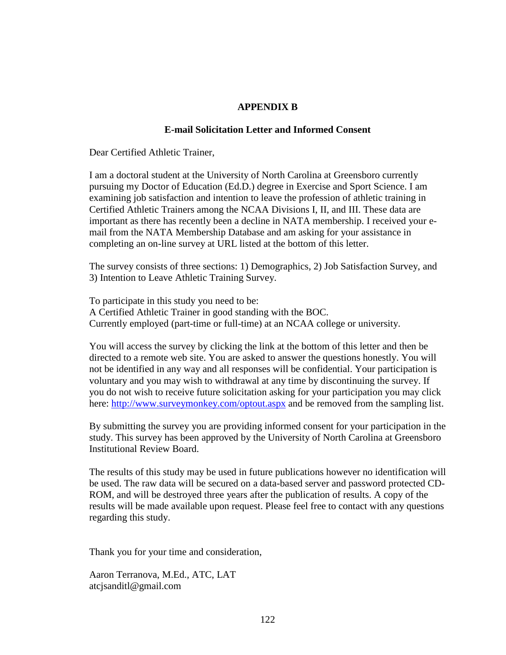#### **APPENDIX B**

#### **E-mail Solicitation Letter and Informed Consent**

Dear Certified Athletic Trainer,

I am a doctoral student at the University of North Carolina at Greensboro currently pursuing my Doctor of Education (Ed.D.) degree in Exercise and Sport Science. I am examining job satisfaction and intention to leave the profession of athletic training in Certified Athletic Trainers among the NCAA Divisions I, II, and III. These data are important as there has recently been a decline in NATA membership. I received your email from the NATA Membership Database and am asking for your assistance in completing an on-line survey at URL listed at the bottom of this letter.

The survey consists of three sections: 1) Demographics, 2) Job Satisfaction Survey, and 3) Intention to Leave Athletic Training Survey.

To participate in this study you need to be: A Certified Athletic Trainer in good standing with the BOC. Currently employed (part-time or full-time) at an NCAA college or university.

You will access the survey by clicking the link at the bottom of this letter and then be directed to a remote web site. You are asked to answer the questions honestly. You will not be identified in any way and all responses will be confidential. Your participation is voluntary and you may wish to withdrawal at any time by discontinuing the survey. If you do not wish to receive future solicitation asking for your participation you may click here: [http://www.surveymonkey.com/optout.aspx](javascript:void(null);) and be removed from the sampling list.

By submitting the survey you are providing informed consent for your participation in the study. This survey has been approved by the University of North Carolina at Greensboro Institutional Review Board.

The results of this study may be used in future publications however no identification will be used. The raw data will be secured on a data-based server and password protected CD-ROM, and will be destroyed three years after the publication of results. A copy of the results will be made available upon request. Please feel free to contact with any questions regarding this study.

Thank you for your time and consideration,

Aaron Terranova, M.Ed., ATC, LAT atcjsanditl@gmail.com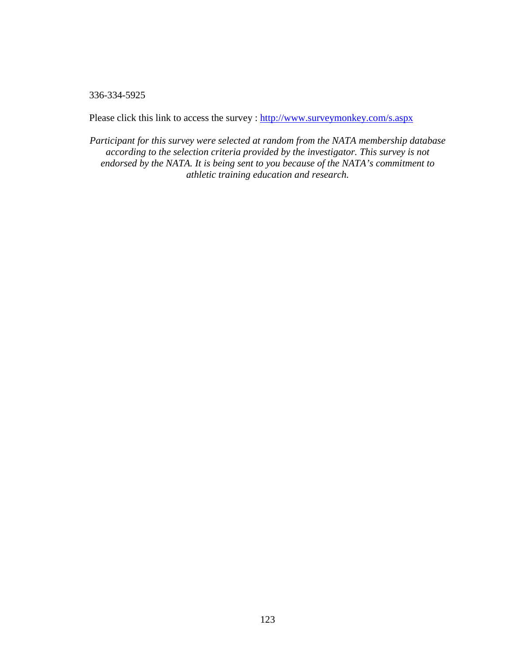336-334-5925

Please click this link to access the survey : http://www.surveymonkey.com/s.aspx

*Participant for this survey were selected at random from the NATA membership database according to the selection criteria provided by the investigator. This survey is not endorsed by the NATA. It is being sent to you because of the NATA's commitment to athletic training education and research.*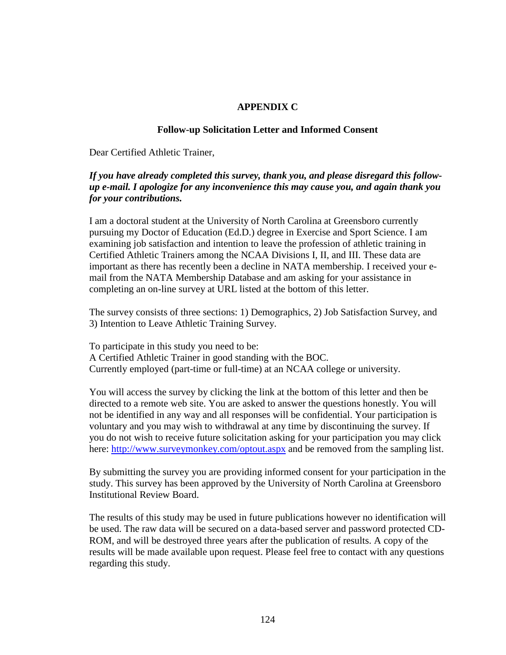#### **APPENDIX C**

#### **Follow-up Solicitation Letter and Informed Consent**

Dear Certified Athletic Trainer,

#### *If you have already completed this survey, thank you, and please disregard this followup e-mail. I apologize for any inconvenience this may cause you, and again thank you for your contributions.*

I am a doctoral student at the University of North Carolina at Greensboro currently pursuing my Doctor of Education (Ed.D.) degree in Exercise and Sport Science. I am examining job satisfaction and intention to leave the profession of athletic training in Certified Athletic Trainers among the NCAA Divisions I, II, and III. These data are important as there has recently been a decline in NATA membership. I received your email from the NATA Membership Database and am asking for your assistance in completing an on-line survey at URL listed at the bottom of this letter.

The survey consists of three sections: 1) Demographics, 2) Job Satisfaction Survey, and 3) Intention to Leave Athletic Training Survey.

To participate in this study you need to be: A Certified Athletic Trainer in good standing with the BOC. Currently employed (part-time or full-time) at an NCAA college or university.

You will access the survey by clicking the link at the bottom of this letter and then be directed to a remote web site. You are asked to answer the questions honestly. You will not be identified in any way and all responses will be confidential. Your participation is voluntary and you may wish to withdrawal at any time by discontinuing the survey. If you do not wish to receive future solicitation asking for your participation you may click here: [http://www.surveymonkey.com/optout.aspx](javascript:void(null);) and be removed from the sampling list.

By submitting the survey you are providing informed consent for your participation in the study. This survey has been approved by the University of North Carolina at Greensboro Institutional Review Board.

The results of this study may be used in future publications however no identification will be used. The raw data will be secured on a data-based server and password protected CD-ROM, and will be destroyed three years after the publication of results. A copy of the results will be made available upon request. Please feel free to contact with any questions regarding this study.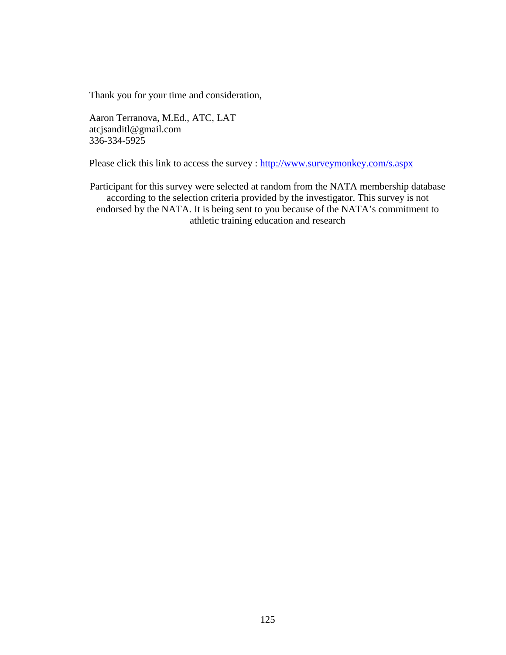Thank you for your time and consideration,

Aaron Terranova, M.Ed., ATC, LAT atcjsanditl@gmail.com 336-334-5925

Please click this link to access the survey : http://www.surveymonkey.com/s.aspx

Participant for this survey were selected at random from the NATA membership database according to the selection criteria provided by the investigator. This survey is not endorsed by the NATA. It is being sent to you because of the NATA's commitment to athletic training education and research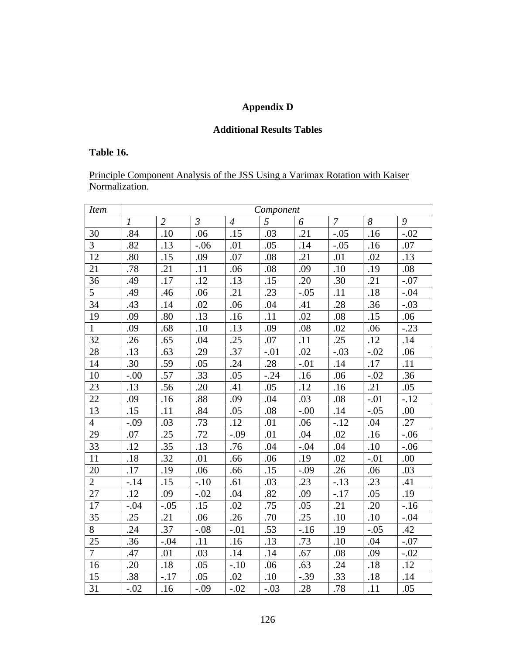# **Appendix D**

## **Additional Results Tables**

## **Table 16.**

Principle Component Analysis of the JSS Using a Varimax Rotation with Kaiser Normalization.

| <b>Item</b>    |                  |                  |                |                  | Component        |        |                  |                  |        |
|----------------|------------------|------------------|----------------|------------------|------------------|--------|------------------|------------------|--------|
|                | $\mathcal{I}$    | $\overline{2}$   | $\mathfrak{Z}$ | $\overline{4}$   | $\overline{5}$   | 6      | $\overline{7}$   | 8                | 9      |
| 30             | .84              | $\overline{.10}$ | .06            | .15              | .03              | .21    | $-.05$           | .16              | $-.02$ |
| $\overline{3}$ | .82              | .13              | $-.06$         | .01              | .05              | .14    | $-.05$           | .16              | .07    |
| 12             | .80              | .15              | .09            | .07              | .08              | .21    | .01              | .02              | .13    |
| 21             | .78              | .21              | .11            | .06              | .08              | .09    | .10              | .19              | .08    |
| 36             | .49              | .17              | .12            | .13              | .15              | .20    | .30              | .21              | $-.07$ |
| 5              | .49              | .46              | .06            | .21              | .23              | $-.05$ | .11              | .18              | $-.04$ |
| 34             | .43              | .14              | .02            | .06              | .04              | .41    | .28              | .36              | $-.03$ |
| 19             | .09              | .80              | .13            | .16              | .11              | .02    | .08              | .15              | .06    |
| $\mathbf{1}$   | .09              | .68              | .10            | .13              | .09              | .08    | .02              | .06              | $-.23$ |
| 32             | .26              | .65              | .04            | .25              | .07              | .11    | .25              | .12              | .14    |
| 28             | .13              | .63              | .29            | .37              | $-.01$           | .02    | $-.03$           | $-.02$           | .06    |
| 14             | .30              | $\overline{.59}$ | .05            | $\overline{.24}$ | $\overline{.28}$ | $-.01$ | .14              | $\overline{.17}$ | .11    |
| 10             | $-.00$           | .57              | .33            | .05              | $-.24$           | .16    | .06              | $-.02$           | .36    |
| 23             | .13              | .56              | .20            | .41              | .05              | .12    | .16              | .21              | .05    |
| 22             | .09              | .16              | .88            | .09              | .04              | .03    | .08              | $-.01$           | $-.12$ |
| 13             | .15              | .11              | .84            | .05              | .08              | $-.00$ | .14              | $-.05$           | .00    |
| $\overline{4}$ | $-.09$           | .03              | .73            | .12              | .01              | .06    | $-.12$           | .04              | .27    |
| 29             | .07              | .25              | .72            | $-.09$           | .01              | .04    | .02              | .16              | $-.06$ |
| 33             | .12              | .35              | .13            | .76              | .04              | $-.04$ | .04              | .10              | $-.06$ |
| 11             | $\overline{.18}$ | $\overline{.32}$ | .01            | .66              | .06              | .19    | .02              | $-.01$           | .00    |
| 20             | .17              | .19              | .06            | .66              | .15              | $-.09$ | $\overline{.26}$ | .06              | .03    |
| $\overline{2}$ | $-14$            | .15              | $-.10$         | .61              | .03              | .23    | $-.13$           | .23              | .41    |
| 27             | .12              | .09              | $-.02$         | .04              | .82              | .09    | $-.17$           | .05              | .19    |
| 17             | $-.04$           | $-.05$           | .15            | .02              | .75              | .05    | .21              | .20              | $-16$  |
| 35             | .25              | .21              | .06            | .26              | .70              | .25    | .10              | .10              | $-.04$ |
| 8              | 24               | .37              | $-.08$         | $-.01$           | .53              | $-16$  | .19              | $-.05$           | .42    |
| 25             | .36              | $-.04$           | .11            | .16              | .13              | .73    | .10              | .04              | $-.07$ |
| $\overline{7}$ | .47              | .01              | .03            | .14              | .14              | .67    | .08              | .09              | $-.02$ |
| 16             | .20              | .18              | .05            | $-.10$           | .06              | .63    | .24              | .18              | .12    |
| 15             | .38              | $-.17$           | .05            | .02              | .10              | $-.39$ | .33              | .18              | .14    |
| 31             | $-.02$           | .16              | $-.09$         | $-.02$           | $-.03$           | .28    | .78              | .11              | .05    |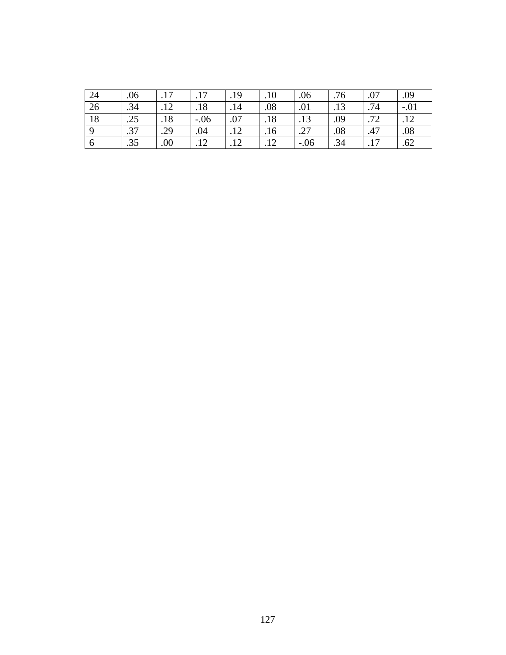| 24 | .06        | 17                 |           | .19    | .10               | .06       | .76   | .07                | .09                 |
|----|------------|--------------------|-----------|--------|-------------------|-----------|-------|--------------------|---------------------|
| 26 | .34        | $1^{\circ}$<br>.14 | .18       | .14    | .08               | .01       | ر 1 . | .74                | $-.01$              |
| 18 | .25        | .18                | $-.06$    | .07    | .18               | .13       | .09   | 72<br>.12          | 1 <sub>2</sub><br>. |
| Ο  | 27<br>ا د. | .29                | .04       | $+ +$  | .16               | 27<br>ا گ | .08   | .47                | .08                 |
|    | .35        | .00.               | 12<br>.14 | $-1/2$ | $1^{\wedge}$<br>. | $-.06$    | .34   | $\cdot$ 1 $\prime$ | .62                 |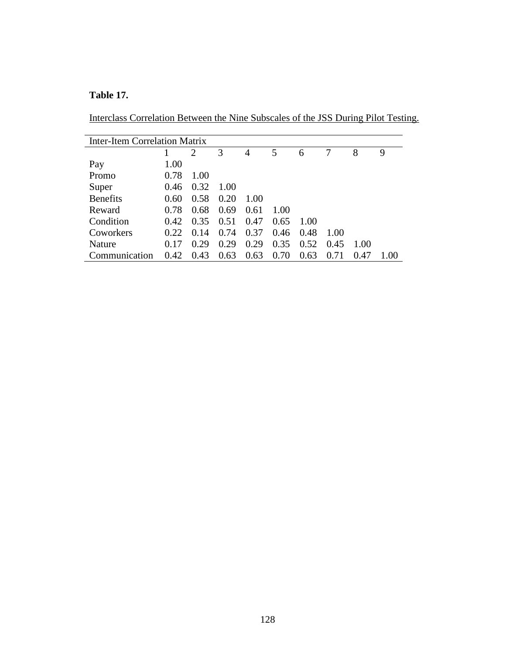## **Table 17.**

Interclass Correlation Between the Nine Subscales of the JSS During Pilot Testing.

| Inter-Item Correlation Matrix |      |                             |      |      |      |      |      |      |     |
|-------------------------------|------|-----------------------------|------|------|------|------|------|------|-----|
|                               |      | $\mathcal{D}_{\mathcal{L}}$ | 3    | 4    | 5    | 6    |      | 8    | 9   |
| Pay                           | 1.00 |                             |      |      |      |      |      |      |     |
| Promo                         | 0.78 | 1.00                        |      |      |      |      |      |      |     |
| Super                         | 0.46 | 0.32                        | 1.00 |      |      |      |      |      |     |
| <b>Benefits</b>               | 0.60 | 0.58                        | 0.20 | 1.00 |      |      |      |      |     |
| Reward                        | 0.78 | 0.68                        | 0.69 | 0.61 | 1.00 |      |      |      |     |
| Condition                     | 0.42 | 0.35                        | 0.51 | 0.47 | 0.65 | 1.00 |      |      |     |
| Coworkers                     | 0.22 | 0.14                        | 0.74 | 0.37 | 0.46 | 0.48 | 1 00 |      |     |
| Nature                        | 0.17 | 0.29                        | 0.29 | 0.29 | 0.35 | 0.52 | 0.45 | 1.00 |     |
| Communication                 | 0.42 | 0.43                        | 0.63 | 0.63 | 0.70 | 0.63 | 0.71 | 0.47 | 100 |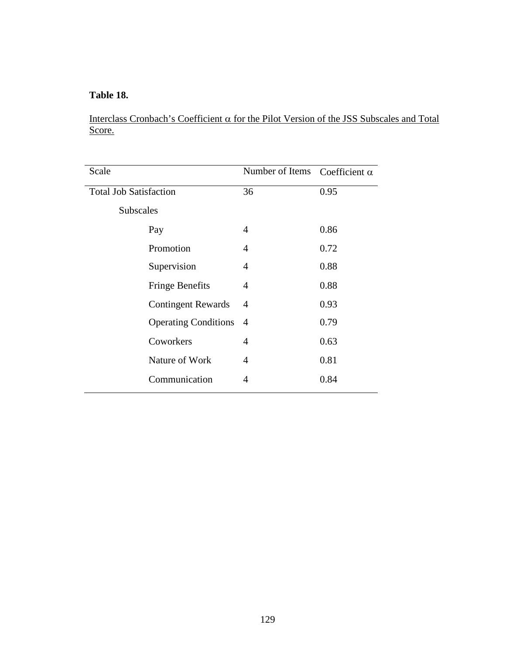## **Table 18.**

Interclass Cronbach's Coefficient  $\alpha$  for the Pilot Version of the JSS Subscales and Total Score.

| Scale                         | Number of Items Coefficient $\alpha$ |      |
|-------------------------------|--------------------------------------|------|
| <b>Total Job Satisfaction</b> | 36                                   | 0.95 |
| Subscales                     |                                      |      |
| Pay                           | 4                                    | 0.86 |
| Promotion                     | 4                                    | 0.72 |
| Supervision                   | 4                                    | 0.88 |
| Fringe Benefits               | 4                                    | 0.88 |
| <b>Contingent Rewards</b>     | 4                                    | 0.93 |
| <b>Operating Conditions</b>   | 4                                    | 0.79 |
| Coworkers                     | 4                                    | 0.63 |
| Nature of Work                | 4                                    | 0.81 |
| Communication                 | 4                                    | 0.84 |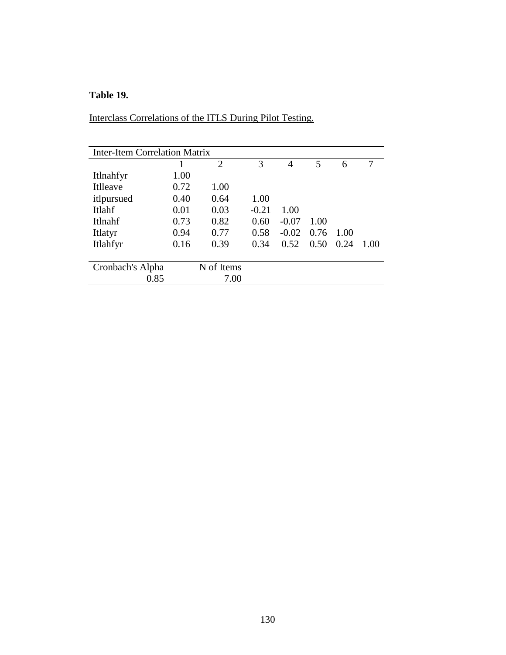## **Table 19.**

| Interclass Correlations of the ITLS During Pilot Testing. |
|-----------------------------------------------------------|
|-----------------------------------------------------------|

|                  | <b>Inter-Item Correlation Matrix</b> |            |         |         |      |      |      |  |  |
|------------------|--------------------------------------|------------|---------|---------|------|------|------|--|--|
|                  |                                      | 2          | 3       | 4       | 5    | 6    |      |  |  |
| Itlnahfyr        | 1.00                                 |            |         |         |      |      |      |  |  |
| Itlleave         | 0.72                                 | 1.00       |         |         |      |      |      |  |  |
| itlpursued       | 0.40                                 | 0.64       | 1.00    |         |      |      |      |  |  |
| Itlahf           | 0.01                                 | 0.03       | $-0.21$ | 1.00    |      |      |      |  |  |
| Itlnahf          | 0.73                                 | 0.82       | 0.60    | $-0.07$ | 1.00 |      |      |  |  |
| Itlatyr          | 0.94                                 | 0.77       | 0.58    | $-0.02$ | 0.76 | 1.00 |      |  |  |
| Itlahfyr         | 0.16                                 | 0.39       | 0.34    | 0.52    | 0.50 | 0.24 | 1.00 |  |  |
|                  |                                      |            |         |         |      |      |      |  |  |
| Cronbach's Alpha |                                      | N of Items |         |         |      |      |      |  |  |
| 0.85             |                                      | 7.00       |         |         |      |      |      |  |  |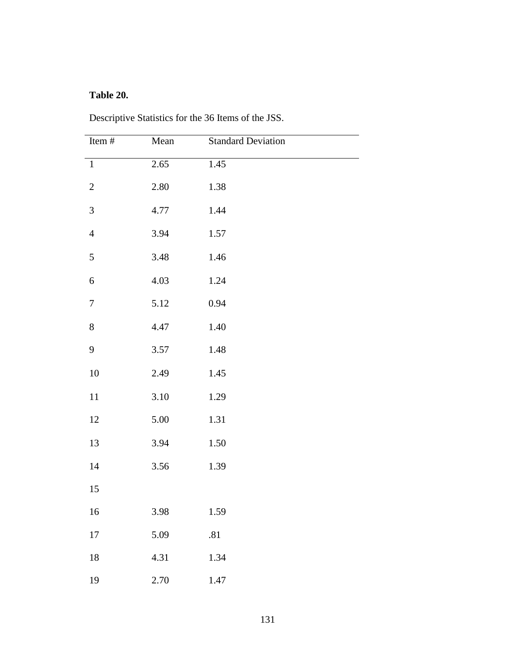## **Table 20.**

Descriptive Statistics for the 36 Items of the JSS.

| Item #                  | Mean | <b>Standard Deviation</b> |  |
|-------------------------|------|---------------------------|--|
| $\overline{1}$          | 2.65 | 1.45                      |  |
| $\sqrt{2}$              | 2.80 | 1.38                      |  |
| $\overline{\mathbf{3}}$ | 4.77 | 1.44                      |  |
| $\overline{4}$          | 3.94 | 1.57                      |  |
| 5                       | 3.48 | 1.46                      |  |
| $\boldsymbol{6}$        | 4.03 | 1.24                      |  |
| $\boldsymbol{7}$        | 5.12 | 0.94                      |  |
| $\,$ $\,$               | 4.47 | 1.40                      |  |
| 9                       | 3.57 | 1.48                      |  |
| 10                      | 2.49 | 1.45                      |  |
| 11                      | 3.10 | 1.29                      |  |
| 12                      | 5.00 | 1.31                      |  |
| 13                      | 3.94 | 1.50                      |  |
| 14                      | 3.56 | 1.39                      |  |
| 15                      |      |                           |  |
| 16                      | 3.98 | 1.59                      |  |
| 17                      | 5.09 | $.81\,$                   |  |
| 18                      | 4.31 | 1.34                      |  |
| 19                      | 2.70 | 1.47                      |  |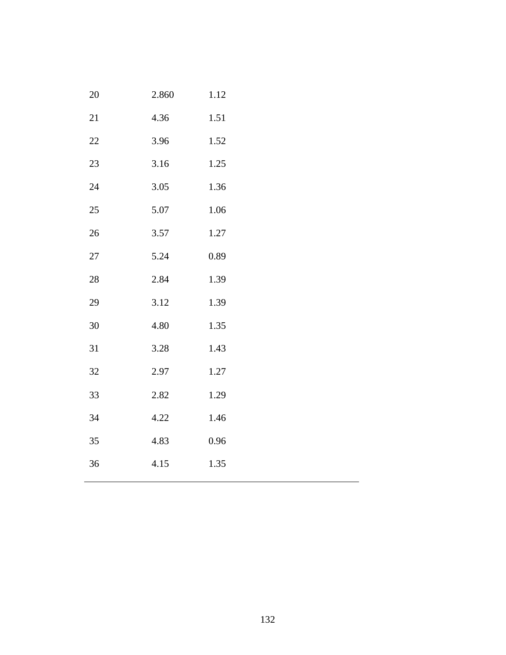| $20\,$ | 2.860 | $1.12\,$ |
|--------|-------|----------|
| $21\,$ | 4.36  | $1.51\,$ |
| 22     | 3.96  | 1.52     |
| 23     | 3.16  | 1.25     |
| 24     | 3.05  | 1.36     |
| $25\,$ | 5.07  | 1.06     |
| 26     | 3.57  | 1.27     |
| $27\,$ | 5.24  | 0.89     |
| $28\,$ | 2.84  | 1.39     |
| 29     | 3.12  | 1.39     |
| 30     | 4.80  | 1.35     |
| 31     | 3.28  | 1.43     |
| 32     | 2.97  | 1.27     |
| 33     | 2.82  | 1.29     |
| 34     | 4.22  | 1.46     |
| 35     | 4.83  | 0.96     |
| 36     | 4.15  | 1.35     |
|        |       |          |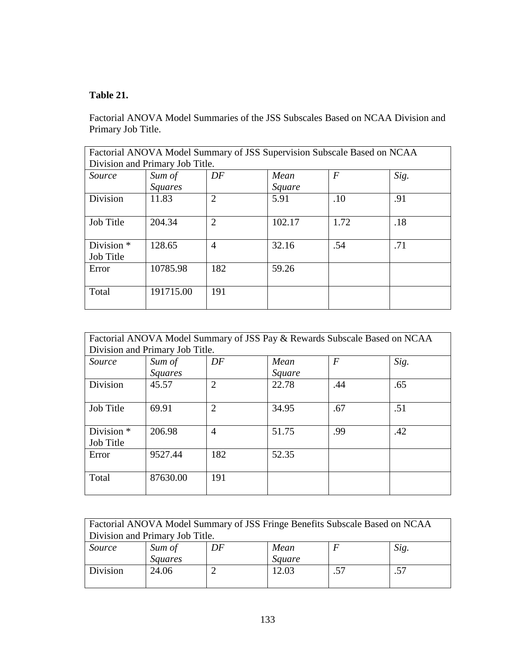## **Table 21.**

Factorial ANOVA Model Summaries of the JSS Subscales Based on NCAA Division and Primary Job Title.

| Factorial ANOVA Model Summary of JSS Supervision Subscale Based on NCAA |                |                |        |                |      |  |
|-------------------------------------------------------------------------|----------------|----------------|--------|----------------|------|--|
| Division and Primary Job Title.                                         |                |                |        |                |      |  |
| Source                                                                  | Sum of         | DF             | Mean   | $\overline{F}$ | Sig. |  |
|                                                                         | <b>Squares</b> |                | Square |                |      |  |
| Division                                                                | 11.83          | $\overline{2}$ | 5.91   | .10            | .91  |  |
| Job Title                                                               | 204.34         | $\overline{2}$ | 102.17 | 1.72           | .18  |  |
| Division *<br>Job Title                                                 | 128.65         | $\overline{4}$ | 32.16  | .54            | .71  |  |
| Error                                                                   | 10785.98       | 182            | 59.26  |                |      |  |
| Total                                                                   | 191715.00      | 191            |        |                |      |  |

| Factorial ANOVA Model Summary of JSS Pay & Rewards Subscale Based on NCAA |                                 |                |        |                |      |  |  |
|---------------------------------------------------------------------------|---------------------------------|----------------|--------|----------------|------|--|--|
|                                                                           | Division and Primary Job Title. |                |        |                |      |  |  |
| Source                                                                    | Sum of                          | DF             | Mean   | $\overline{F}$ | Sig. |  |  |
|                                                                           | <b>Squares</b>                  |                | Square |                |      |  |  |
| Division                                                                  | 45.57                           | $\overline{2}$ | 22.78  | .44            | .65  |  |  |
| Job Title                                                                 | 69.91                           | 2              | 34.95  | .67            | .51  |  |  |
| Division *<br>Job Title                                                   | 206.98                          | $\overline{4}$ | 51.75  | .99            | .42  |  |  |
| Error                                                                     | 9527.44                         | 182            | 52.35  |                |      |  |  |
| Total                                                                     | 87630.00                        | 191            |        |                |      |  |  |

| Factorial ANOVA Model Summary of JSS Fringe Benefits Subscale Based on NCAA<br>Division and Primary Job Title. |                          |    |                |  |      |
|----------------------------------------------------------------------------------------------------------------|--------------------------|----|----------------|--|------|
| Source                                                                                                         | Sum of<br><b>Squares</b> | DF | Mean<br>Square |  | Sig. |
| Division                                                                                                       | 24.06                    |    | 12.03          |  | .57  |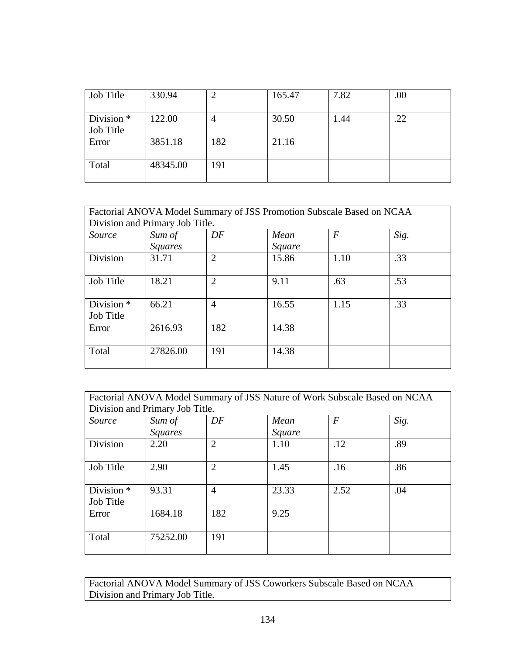| Job Title               | 330.94   | $\overline{2}$ | 165.47 | 7.82 | .00 |
|-------------------------|----------|----------------|--------|------|-----|
| Division *<br>Job Title | 122.00   | $\overline{4}$ | 30.50  | 1.44 | .22 |
| Error                   | 3851.18  | 182            | 21.16  |      |     |
| Total                   | 48345.00 | 191            |        |      |     |

| Factorial ANOVA Model Summary of JSS Promotion Subscale Based on NCAA<br>Division and Primary Job Title. |                          |                |                |                |      |  |  |
|----------------------------------------------------------------------------------------------------------|--------------------------|----------------|----------------|----------------|------|--|--|
| Source                                                                                                   | Sum of<br><i>Squares</i> | DF             | Mean<br>Square | $\overline{F}$ | Sig. |  |  |
| Division                                                                                                 | 31.71                    | $\overline{2}$ | 15.86          | 1.10           | .33  |  |  |
| Job Title                                                                                                | 18.21                    | $\overline{2}$ | 9.11           | .63            | .53  |  |  |
| Division *<br>Job Title                                                                                  | 66.21                    | $\overline{4}$ | 16.55          | 1.15           | .33  |  |  |
| Error                                                                                                    | 2616.93                  | 182            | 14.38          |                |      |  |  |
| Total                                                                                                    | 27826.00                 | 191            | 14.38          |                |      |  |  |

| Factorial ANOVA Model Summary of JSS Nature of Work Subscale Based on NCAA |                                 |                |        |      |      |  |  |
|----------------------------------------------------------------------------|---------------------------------|----------------|--------|------|------|--|--|
|                                                                            | Division and Primary Job Title. |                |        |      |      |  |  |
| Source                                                                     | Sum of                          | DF             | Mean   | F    | Sig. |  |  |
|                                                                            | <b>Squares</b>                  |                | Square |      |      |  |  |
| Division                                                                   | 2.20                            | $\overline{2}$ | 1.10   | .12  | .89  |  |  |
| Job Title                                                                  | 2.90                            | $\overline{2}$ | 1.45   | .16  | .86  |  |  |
| Division *<br>Job Title                                                    | 93.31                           | 4              | 23.33  | 2.52 | .04  |  |  |
| Error                                                                      | 1684.18                         | 182            | 9.25   |      |      |  |  |
| Total                                                                      | 75252.00                        | 191            |        |      |      |  |  |

Factorial ANOVA Model Summary of JSS Coworkers Subscale Based on NCAA Division and Primary Job Title.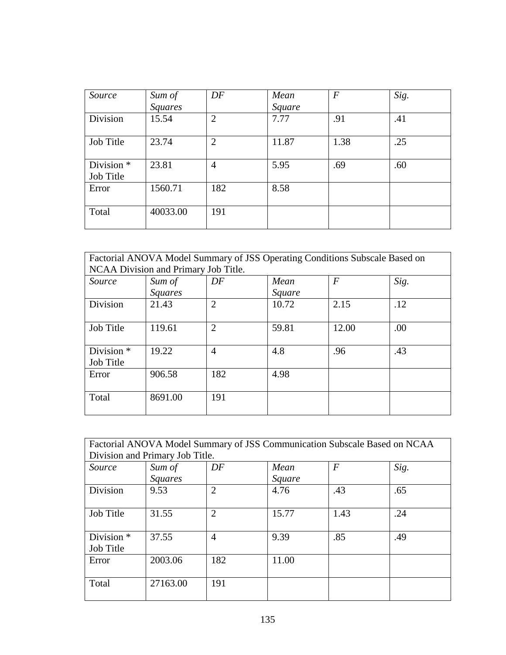| Source                  | Sum of         | DF             | Mean   | F    | Sig. |
|-------------------------|----------------|----------------|--------|------|------|
|                         | <b>Squares</b> |                | Square |      |      |
| Division                | 15.54          | $\overline{2}$ | 7.77   | .91  | .41  |
| Job Title               | 23.74          | $\overline{2}$ | 11.87  | 1.38 | .25  |
| Division *<br>Job Title | 23.81          | $\overline{4}$ | 5.95   | .69  | .60  |
| Error                   | 1560.71        | 182            | 8.58   |      |      |
| Total                   | 40033.00       | 191            |        |      |      |

| Factorial ANOVA Model Summary of JSS Operating Conditions Subscale Based on<br>NCAA Division and Primary Job Title. |                |                                      |        |       |     |  |  |
|---------------------------------------------------------------------------------------------------------------------|----------------|--------------------------------------|--------|-------|-----|--|--|
| Source                                                                                                              | Sum of         | $\overline{F}$<br>Sig.<br>DF<br>Mean |        |       |     |  |  |
|                                                                                                                     | <b>Squares</b> |                                      | Square |       |     |  |  |
| Division                                                                                                            | 21.43          | $\overline{2}$                       | 10.72  | 2.15  | .12 |  |  |
| Job Title                                                                                                           | 119.61         | $\overline{2}$                       | 59.81  | 12.00 | .00 |  |  |
| Division *<br>Job Title                                                                                             | 19.22          | $\overline{4}$                       | 4.8    | .96   | .43 |  |  |
| Error                                                                                                               | 906.58         | 182                                  | 4.98   |       |     |  |  |
| Total                                                                                                               | 8691.00        | 191                                  |        |       |     |  |  |

| Factorial ANOVA Model Summary of JSS Communication Subscale Based on NCAA |                |                |        |                  |      |  |
|---------------------------------------------------------------------------|----------------|----------------|--------|------------------|------|--|
| Division and Primary Job Title.                                           |                |                |        |                  |      |  |
| Source                                                                    | Sum of         | DF             | Mean   | $\boldsymbol{F}$ | Sig. |  |
|                                                                           | <b>Squares</b> |                | Square |                  |      |  |
| Division                                                                  | 9.53           | $\overline{2}$ | 4.76   | .43              | .65  |  |
| Job Title                                                                 | 31.55          | $\overline{2}$ | 15.77  | 1.43             | .24  |  |
| Division <sup>*</sup><br>Job Title                                        | 37.55          | $\overline{4}$ | 9.39   | .85              | .49  |  |
| Error                                                                     | 2003.06        | 182            | 11.00  |                  |      |  |
| Total                                                                     | 27163.00       | 191            |        |                  |      |  |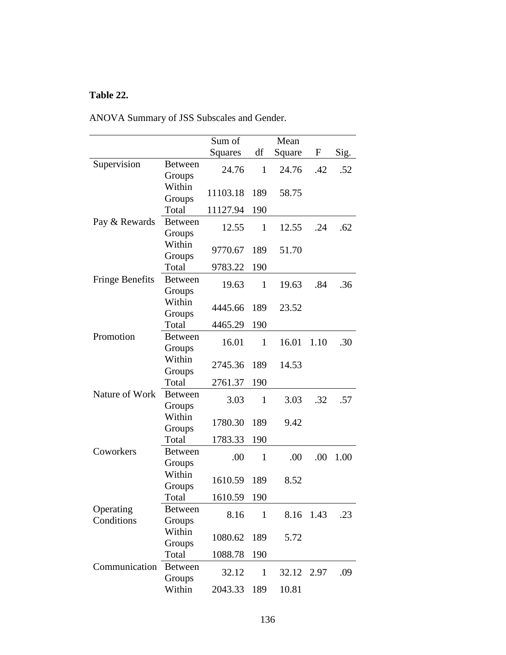### **Table 22.**

ANOVA Summary of JSS Subscales and Gender.

|                        |                | Sum of   |              | Mean   |      |      |
|------------------------|----------------|----------|--------------|--------|------|------|
|                        |                |          | df           |        |      |      |
|                        |                | Squares  |              | Square | F    | Sig. |
| Supervision            | <b>Between</b> | 24.76    | $\mathbf{1}$ | 24.76  | .42  | .52  |
|                        | Groups         |          |              |        |      |      |
|                        | Within         | 11103.18 | 189          | 58.75  |      |      |
|                        | Groups         |          |              |        |      |      |
|                        | Total          | 11127.94 | 190          |        |      |      |
| Pay & Rewards          | <b>Between</b> | 12.55    | $\mathbf{1}$ | 12.55  | .24  | .62  |
|                        | Groups         |          |              |        |      |      |
|                        | Within         | 9770.67  | 189          | 51.70  |      |      |
|                        | Groups         |          |              |        |      |      |
|                        | Total          | 9783.22  | 190          |        |      |      |
| <b>Fringe Benefits</b> | <b>Between</b> | 19.63    | $\mathbf{1}$ | 19.63  | .84  | .36  |
|                        | Groups         |          |              |        |      |      |
|                        | Within         | 4445.66  | 189          | 23.52  |      |      |
|                        | Groups         |          |              |        |      |      |
|                        | Total          | 4465.29  | 190          |        |      |      |
| Promotion              | Between        | 16.01    | $\mathbf{1}$ | 16.01  | 1.10 | .30  |
|                        | Groups         |          |              |        |      |      |
|                        | Within         | 2745.36  | 189          | 14.53  |      |      |
|                        | Groups         |          |              |        |      |      |
|                        | Total          | 2761.37  | 190          |        |      |      |
| Nature of Work         | <b>Between</b> | 3.03     | $\mathbf{1}$ | 3.03   | .32  | .57  |
|                        | Groups         |          |              |        |      |      |
|                        | Within         | 1780.30  | 189          | 9.42   |      |      |
|                        | Groups         |          |              |        |      |      |
|                        | Total          | 1783.33  | 190          |        |      |      |
| Coworkers              | <b>Between</b> | .00      | $\mathbf{1}$ | .00    | .00  | 1.00 |
|                        | Groups         |          |              |        |      |      |
|                        | Within         | 1610.59  | 189          | 8.52   |      |      |
|                        | Groups         |          |              |        |      |      |
|                        | Total          | 1610.59  | 190          |        |      |      |
| Operating              | <b>Between</b> | 8.16     | $\mathbf{1}$ | 8.16   | 1.43 | .23  |
| Conditions             | Groups         |          |              |        |      |      |
|                        | Within         | 1080.62  | 189          | 5.72   |      |      |
|                        | Groups         |          |              |        |      |      |
|                        | Total          | 1088.78  | 190          |        |      |      |
| Communication          | <b>Between</b> | 32.12    | $\mathbf{1}$ | 32.12  | 2.97 | .09  |
|                        | Groups         |          |              |        |      |      |
|                        | Within         | 2043.33  | 189          | 10.81  |      |      |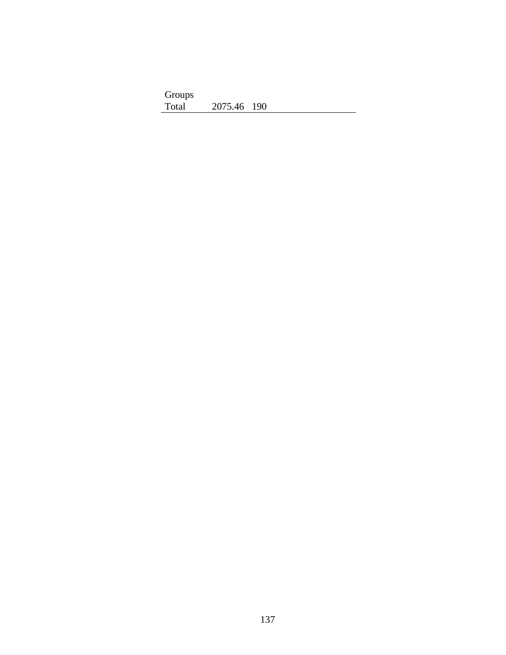| Groups |             |  |  |
|--------|-------------|--|--|
| Total  | 2075.46 190 |  |  |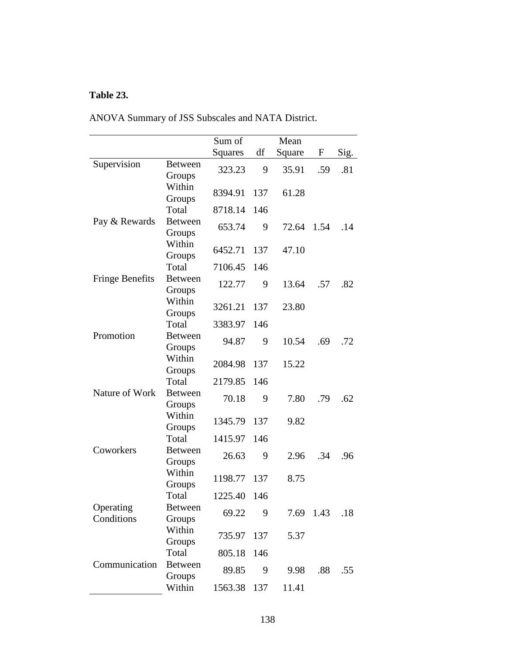## **Table 23.**

|                         |                          | Sum of  |     | Mean   |      |      |
|-------------------------|--------------------------|---------|-----|--------|------|------|
|                         |                          | Squares | df  | Square | F    | Sig. |
| Supervision             | <b>Between</b><br>Groups | 323.23  | 9   | 35.91  | .59  | .81  |
|                         | Within<br>Groups         | 8394.91 | 137 | 61.28  |      |      |
|                         | Total                    | 8718.14 | 146 |        |      |      |
| Pay & Rewards           | <b>Between</b><br>Groups | 653.74  | 9   | 72.64  | 1.54 | .14  |
|                         | Within<br>Groups         | 6452.71 | 137 | 47.10  |      |      |
|                         | Total                    | 7106.45 | 146 |        |      |      |
| <b>Fringe Benefits</b>  | <b>Between</b><br>Groups | 122.77  | 9   | 13.64  | .57  | .82  |
|                         | Within<br>Groups         | 3261.21 | 137 | 23.80  |      |      |
|                         | Total                    | 3383.97 | 146 |        |      |      |
| Promotion               | <b>Between</b><br>Groups | 94.87   | 9   | 10.54  | .69  | .72  |
|                         | Within<br>Groups         | 2084.98 | 137 | 15.22  |      |      |
|                         | Total                    | 2179.85 | 146 |        |      |      |
| Nature of Work          | <b>Between</b><br>Groups | 70.18   | 9   | 7.80   | .79  | .62  |
|                         | Within<br>Groups         | 1345.79 | 137 | 9.82   |      |      |
|                         | Total                    | 1415.97 | 146 |        |      |      |
| Coworkers               | <b>Between</b><br>Groups | 26.63   | 9   | 2.96   | .34  | .96  |
|                         | Within<br>Groups         | 1198.77 | 137 | 8.75   |      |      |
|                         | Total                    | 1225.40 | 146 |        |      |      |
| Operating<br>Conditions | <b>Between</b><br>Groups | 69.22   | 9   | 7.69   | 1.43 | .18  |
|                         | Within<br>Groups         | 735.97  | 137 | 5.37   |      |      |
|                         | Total                    | 805.18  | 146 |        |      |      |
| Communication           | <b>Between</b><br>Groups | 89.85   | 9   | 9.98   | .88  | .55  |
|                         | Within                   | 1563.38 | 137 | 11.41  |      |      |

ANOVA Summary of JSS Subscales and NATA District.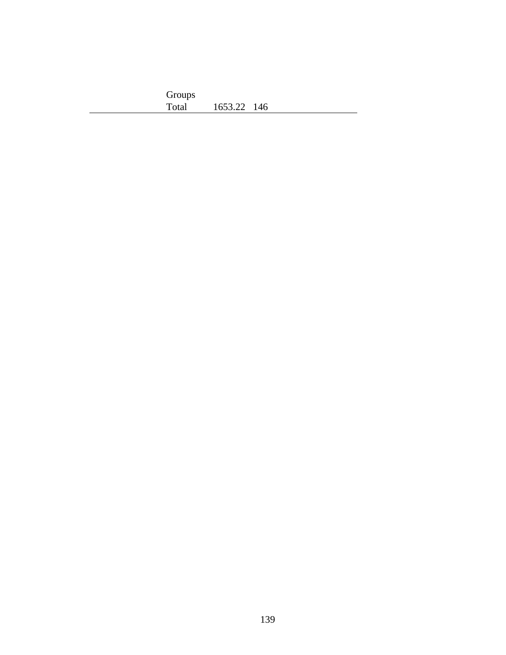| Groups |             |  |
|--------|-------------|--|
| Total  | 1653.22 146 |  |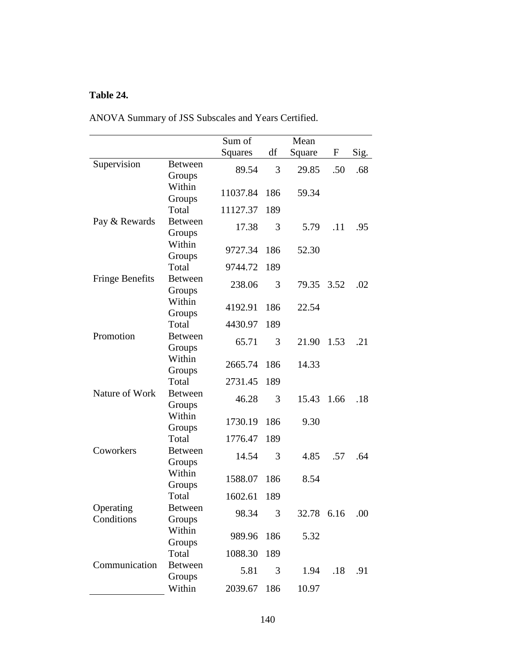#### **Table 24.**

|                         |                          | Sum of   |     | Mean       |      |      |
|-------------------------|--------------------------|----------|-----|------------|------|------|
|                         |                          | Squares  | df  | Square     | F    | Sig. |
| Supervision             | <b>Between</b><br>Groups | 89.54    | 3   | 29.85      | .50  | .68  |
|                         | Within<br>Groups         | 11037.84 | 186 | 59.34      |      |      |
|                         | Total                    | 11127.37 | 189 |            |      |      |
| Pay & Rewards           | <b>Between</b><br>Groups | 17.38    | 3   | 5.79       | .11  | .95  |
|                         | Within<br>Groups         | 9727.34  | 186 | 52.30      |      |      |
|                         | Total                    | 9744.72  | 189 |            |      |      |
| <b>Fringe Benefits</b>  | <b>Between</b><br>Groups | 238.06   | 3   | 79.35      | 3.52 | .02  |
|                         | Within<br>Groups         | 4192.91  | 186 | 22.54      |      |      |
|                         | Total                    | 4430.97  | 189 |            |      |      |
| Promotion               | <b>Between</b><br>Groups | 65.71    | 3   | 21.90      | 1.53 | .21  |
|                         | Within<br>Groups         | 2665.74  | 186 | 14.33      |      |      |
|                         | Total                    | 2731.45  | 189 |            |      |      |
| Nature of Work          | <b>Between</b><br>Groups | 46.28    | 3   | 15.43      | 1.66 | .18  |
|                         | Within<br>Groups         | 1730.19  | 186 | 9.30       |      |      |
|                         | Total                    | 1776.47  | 189 |            |      |      |
| Coworkers               | <b>Between</b><br>Groups | 14.54    | 3   | 4.85       | .57  | .64  |
|                         | Within<br>Groups         | 1588.07  | 186 | 8.54       |      |      |
|                         | Total                    | 1602.61  | 189 |            |      |      |
| Operating<br>Conditions | <b>Between</b><br>Groups | 98.34    | 3   | 32.78 6.16 |      | .00  |
|                         | Within<br>Groups         | 989.96   | 186 | 5.32       |      |      |
|                         | Total                    | 1088.30  | 189 |            |      |      |
| Communication           | <b>Between</b><br>Groups | 5.81     | 3   | 1.94       | .18  | .91  |
|                         | Within                   | 2039.67  | 186 | 10.97      |      |      |

ANOVA Summary of JSS Subscales and Years Certified.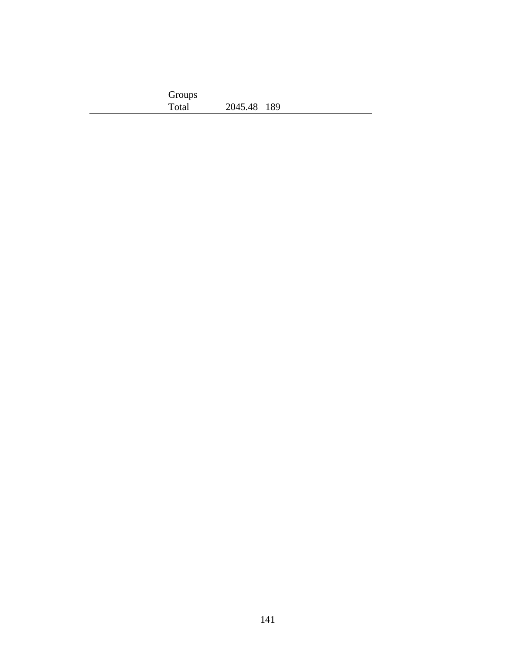| Groups |             |  |
|--------|-------------|--|
| Total  | 2045.48 189 |  |

J. L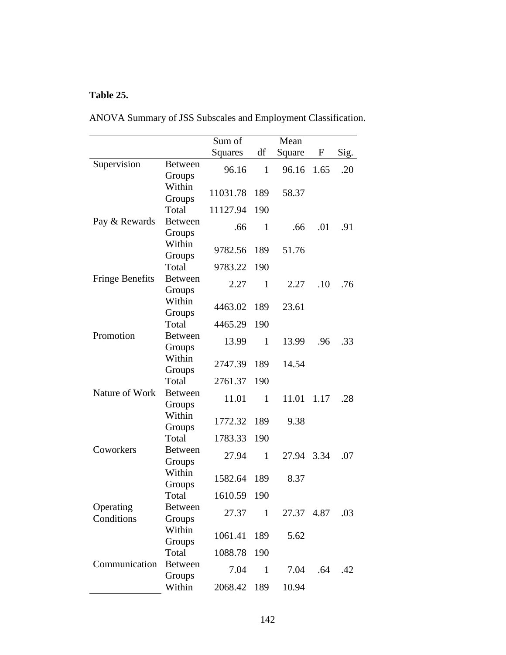# **Table 25.**

|                         |                          | Sum of   |              | Mean   |      |      |
|-------------------------|--------------------------|----------|--------------|--------|------|------|
|                         |                          | Squares  | df           | Square | F    | Sig. |
| Supervision             | <b>Between</b><br>Groups | 96.16    | 1            | 96.16  | 1.65 | .20  |
|                         | Within<br>Groups         | 11031.78 | 189          | 58.37  |      |      |
|                         | Total                    | 11127.94 | 190          |        |      |      |
| Pay & Rewards           | <b>Between</b><br>Groups | .66      | 1            | .66    | .01  | .91  |
|                         | Within<br>Groups         | 9782.56  | 189          | 51.76  |      |      |
|                         | Total                    | 9783.22  | 190          |        |      |      |
| <b>Fringe Benefits</b>  | <b>Between</b><br>Groups | 2.27     | $\mathbf{1}$ | 2.27   | .10  | .76  |
|                         | Within<br>Groups         | 4463.02  | 189          | 23.61  |      |      |
|                         | Total                    | 4465.29  | 190          |        |      |      |
| Promotion               | <b>Between</b><br>Groups | 13.99    | $\mathbf{1}$ | 13.99  | .96  | .33  |
|                         | Within<br>Groups         | 2747.39  | 189          | 14.54  |      |      |
|                         | Total                    | 2761.37  | 190          |        |      |      |
| Nature of Work          | <b>Between</b><br>Groups | 11.01    | $\mathbf{1}$ | 11.01  | 1.17 | .28  |
|                         | Within<br>Groups         | 1772.32  | 189          | 9.38   |      |      |
|                         | Total                    | 1783.33  | 190          |        |      |      |
| Coworkers               | <b>Between</b><br>Groups | 27.94    | 1            | 27.94  | 3.34 | .07  |
|                         | Within<br>Groups         | 1582.64  | 189          | 8.37   |      |      |
|                         | Total                    | 1610.59  | 190          |        |      |      |
| Operating<br>Conditions | Between<br>Groups        | 27.37    | $\mathbf{1}$ | 27.37  | 4.87 | .03  |
|                         | Within<br>Groups         | 1061.41  | 189          | 5.62   |      |      |
|                         | Total                    | 1088.78  | 190          |        |      |      |
| Communication           | <b>Between</b><br>Groups | 7.04     | 1            | 7.04   | .64  | .42  |
|                         | Within                   | 2068.42  | 189          | 10.94  |      |      |

ANOVA Summary of JSS Subscales and Employment Classification.